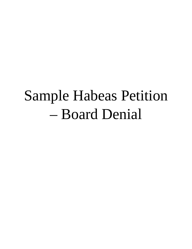# Sample Habeas Petition – Board Denial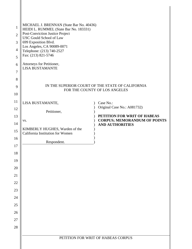| $\mathbf{1}$<br>$\mathfrak{2}$<br>3<br>4<br>5<br>6<br>7<br>8<br>9 | MICHAEL J. BRENNAN (State Bar No. 40436)<br>HEIDI L. RUMMEL (State Bar No. 183331)<br><b>Post-Conviction Justice Project</b><br><b>USC Gould School of Law</b><br>699 Exposition Blvd.<br>Los Angeles, CA 90089-0071<br>Telephone: (213) 740-2527<br>Fax: (213) 821-5746<br>Attorneys for Petitioner,<br><b>LISA BUSTAMANTE</b> | IN THE SUPERIOR COURT OF THE STATE OF CALIFORNIA<br>FOR THE COUNTY OF LOS ANGELES |
|-------------------------------------------------------------------|---------------------------------------------------------------------------------------------------------------------------------------------------------------------------------------------------------------------------------------------------------------------------------------------------------------------------------|-----------------------------------------------------------------------------------|
| 10<br>11                                                          |                                                                                                                                                                                                                                                                                                                                 |                                                                                   |
| 12                                                                | LISA BUSTAMANTE,                                                                                                                                                                                                                                                                                                                | Case No.:<br>Original Case No.: A081732)                                          |
| 13                                                                | Petitioner,                                                                                                                                                                                                                                                                                                                     | PETITION FOR WRIT OF HABEAS                                                       |
| 14                                                                | VS.                                                                                                                                                                                                                                                                                                                             | <b>CORPUS; MEMORANDUM OF POINTS</b><br><b>AND AUTHORITIES</b>                     |
| 15                                                                | KIMBERLY HUGHES, Warden of the<br>California Institution for Women                                                                                                                                                                                                                                                              |                                                                                   |
| 16                                                                | Respondent.                                                                                                                                                                                                                                                                                                                     |                                                                                   |
| 17                                                                |                                                                                                                                                                                                                                                                                                                                 |                                                                                   |
| 18                                                                |                                                                                                                                                                                                                                                                                                                                 |                                                                                   |
| 19                                                                |                                                                                                                                                                                                                                                                                                                                 |                                                                                   |
| 20<br>21                                                          |                                                                                                                                                                                                                                                                                                                                 |                                                                                   |
| 22                                                                |                                                                                                                                                                                                                                                                                                                                 |                                                                                   |
| 23                                                                |                                                                                                                                                                                                                                                                                                                                 |                                                                                   |
| 24                                                                |                                                                                                                                                                                                                                                                                                                                 |                                                                                   |
| 25                                                                |                                                                                                                                                                                                                                                                                                                                 |                                                                                   |
| 26                                                                |                                                                                                                                                                                                                                                                                                                                 |                                                                                   |
| 27                                                                |                                                                                                                                                                                                                                                                                                                                 |                                                                                   |
| 28                                                                |                                                                                                                                                                                                                                                                                                                                 |                                                                                   |
|                                                                   |                                                                                                                                                                                                                                                                                                                                 | PETITION FOR WRIT OF HABEAS CORPUS                                                |
|                                                                   |                                                                                                                                                                                                                                                                                                                                 |                                                                                   |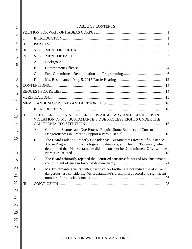| 1              |                |                 | <b>TABLE OF CONTENTS</b>                                                                                                                                                                                                                  |
|----------------|----------------|-----------------|-------------------------------------------------------------------------------------------------------------------------------------------------------------------------------------------------------------------------------------------|
| $\overline{2}$ | Ι.             |                 |                                                                                                                                                                                                                                           |
| 3              | Π.             |                 |                                                                                                                                                                                                                                           |
| 4              | III.           |                 |                                                                                                                                                                                                                                           |
| 5              | IV.            |                 |                                                                                                                                                                                                                                           |
|                |                | A.              |                                                                                                                                                                                                                                           |
| 6              |                | <b>B.</b>       |                                                                                                                                                                                                                                           |
| 7              |                | $\mathcal{C}$ . |                                                                                                                                                                                                                                           |
| 8              |                | D.              |                                                                                                                                                                                                                                           |
| 9              |                |                 |                                                                                                                                                                                                                                           |
| 10             |                |                 |                                                                                                                                                                                                                                           |
|                |                |                 |                                                                                                                                                                                                                                           |
| 11             |                |                 |                                                                                                                                                                                                                                           |
| 12             | $\mathbf{I}$ . |                 |                                                                                                                                                                                                                                           |
| 13<br>14       | Π.             |                 | THE BOARD'S DENIAL OF PAROLE IS ARBITRARY AND CAPRICIOUS IN<br>VIOLATION OF MS. BUSTAMANTE'S DUE PROCESS RIGHTS UNDER THE                                                                                                                 |
| 15             |                | A.              | California Statutes and Due Process Require Some Evidence of Current                                                                                                                                                                      |
| 16<br>17<br>18 |                | <b>B.</b>       | The Board Failed to Properly Consider Ms. Bustamante's Record of Substance<br>Abuse Programming, Psychological Evaluations, and Hearing Testimony when it<br>determined that Ms. Bustamante did not consider her Commitment Offense to be |
| 19             |                |                 | The Board arbitrarily rejected the identified causative factors of Ms. Bustamante's                                                                                                                                                       |
| 20<br>21       |                | D.              | Ms. Bustamante's visits with a friend of her brother are not indicative of current<br>dangerousness considering Ms. Bustamante's disciplinary record and significant                                                                      |
|                |                |                 |                                                                                                                                                                                                                                           |
| 22<br>23       | III.           |                 |                                                                                                                                                                                                                                           |
| 24             |                |                 |                                                                                                                                                                                                                                           |
| 25             |                |                 |                                                                                                                                                                                                                                           |
| 26             |                |                 |                                                                                                                                                                                                                                           |
| 27             |                |                 |                                                                                                                                                                                                                                           |
| 28             |                |                 |                                                                                                                                                                                                                                           |
|                |                |                 | $\mathbf i$                                                                                                                                                                                                                               |
|                |                |                 | PETITION FOR WRIT OF HABEAS CORPUS                                                                                                                                                                                                        |
|                |                |                 |                                                                                                                                                                                                                                           |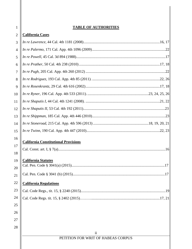| $\mathbf{1}$   | <b>TABLE OF AUTHORITIES</b>                          |
|----------------|------------------------------------------------------|
| $\overline{2}$ | <b>California Cases</b>                              |
| 3              |                                                      |
| 4              |                                                      |
| 5              |                                                      |
| 6              |                                                      |
| 7              |                                                      |
| 8              |                                                      |
| 9              |                                                      |
| 10             |                                                      |
| 11             |                                                      |
| 12             |                                                      |
| 13             |                                                      |
| 14             |                                                      |
| 15             |                                                      |
| 16             | <b>California Constitutional Provisions</b>          |
| 17             |                                                      |
| 18             |                                                      |
| 19             | <b>California Statutes</b>                           |
| 20             |                                                      |
| 21             |                                                      |
| 22             | <b>California Regulations</b>                        |
| 23             |                                                      |
| 24             |                                                      |
| 25             |                                                      |
| 26             |                                                      |
| 27             |                                                      |
| 28             |                                                      |
|                | $\ddot{\rm n}$<br>PETITION FOR WRIT OF HABEAS CORPUS |
|                |                                                      |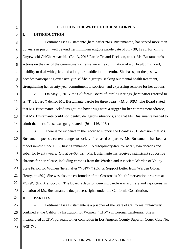#### **PETITION FOR WRIT OF HABEAS CORPUS**

#### **I. INTRODUCTION**

1

2

3

4

5

6

7

8

9

10

11

12

13

14

15

16

17

18

19

20

21

22

23

24

25

27

 1. Petitioner Lisa Bustamante (hereinafter "Ms. Bustamante") has served more than 33 years in prison, well beyond her minimum eligible parole date of July 30, 1995, for killing Onyewuchi ChiChi Amaechi. (Ex. A, 2015 Parole Tr. and Decision, at 4.) Ms. Bustamante's actions on the day of the commitment offense were the culmination of a difficult childhood, inability to deal with grief, and a long-term addiction to heroin. She has spent the past two decades participating extensively in self-help groups, seeking out mental health treatment, strengthening her twenty-year commitment to sobriety, and expressing remorse for her actions.

 2. On May 5, 2015, the California Board of Parole Hearings (hereinafter referred to as "The Board") denied Ms. Bustamante parole for three years. (*Id*. at 109.) The Board stated that Ms. Bustamante lacked insight into how drugs were a trigger for her commitment offense, that Ms. Bustamante could not identify dangerous situations, and that Ms. Bustamante needed to admit that her offense was gang related. (*Id* at 116, 118.)

3. There is no evidence in the record to support the Board's 2015 decision that Ms. Bustamante poses a current danger to society if released on parole. Ms. Bustamante has been a model inmate since 1997, having remained 115 disciplinary-free for nearly two decades and sober for twenty years. (*Id.* at 59-60, 62.) Ms. Bustamante has received significant supportive chronos for her release, including chronos from the Warden and Associate Warden of Valley State Prison for Women (hereinafter "VSPW") (Ex. G, Support Letter from Warden Gloria Henry, at 459.) She was also the co-founder of the Crossroads Youth Intervention program at VSPW. (Ex. A at 66-67.) The Board's decision denying parole was arbitrary and capricious, in violation of Ms. Bustamante's due process rights under the California Constitution.

# **II. PARTIES**

26 28 4. Petitioner Lisa Bustamante is a prisoner of the State of California, unlawfully confined at the California Institution for Women ("CIW") in Corona, California. She is incarcerated at CIW, pursuant to her conviction in Los Angeles County Superior Court, Case No. A081732.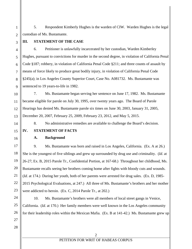1 2 5. Respondent Kimberly Hughes is the warden of CIW. Warden Hughes is the legal custodian of Ms. Bustamante.

# **III. STATEMENT OF THE CASE**

6. Petitioner is unlawfully incarcerated by her custodian, Warden Kimberley Hughes, pursuant to convictions for murder in the second degree, in violation of California Penal Code §187; robbery, in violation of California Penal Code §211; and three counts of assault by means of force likely to produce great bodily injury, in violation of California Penal Code §245(a); in Los Angeles County Superior Court, Case No. A081732. Ms. Bustamante was sentenced to 19 years-to-life in 1982.

7. Ms. Bustamante began serving her sentence on June 17, 1982. Ms. Bustamante became eligible for parole on July 30, 1995, over twenty years ago. The Board of Parole Hearings has denied Ms. Bustamante parole six times on June 30, 2003, January 31, 2005, December 20, 2007, February 25, 2009, February 23, 2012, and May 5, 2015.

8. No administrative remedies are available to challenge the Board's decision.

# **IV. STATEMENT OF FACTS**

#### **A. Background**

9. Ms. Bustamante was born and raised in Los Angeles, California. (Ex. A at 26.) She is the youngest of five siblings and grew up surrounded by drug use and criminality. (*Id*. at 26-27; Ex. B, 2015 Parole Tr., Confidential Portion, at 167-68.) Throughout her childhood, Ms. Bustamante recalls seeing her brothers coming home after fights with bloody cuts and wounds. (*Id*. at 174.) During her youth, both of her parents were arrested for drug sales. (Ex. D, 1985- 2015 Psychological Evaluations, at 247.) All three of Ms. Bustamante's brothers and her mother were addicted to heroin. (Ex. C, 2014 Parole Tr., at 202.)

10. Ms. Bustamante's brothers were all members of local street gangs in Venice, California. (*Id.* at 170.) Her family members were well known in the Los Angeles community for their leadership roles within the Mexican Mafia. (Ex. B at 141-42.) Ms. Bustamante grew up

3

4

5

6

7

8

9

10

11

12

13

14

15

16

17

18

19

20

21

22

23

24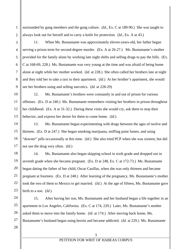1 2 surrounded by gang members and the gang culture. (*Id.,* Ex. C at 189-90.) She was taught to always look out for herself and to carry a knife for protection. (*Id.*, Ex. A at 43.)

3

4

11. When Ms. Bustamante was approximately eleven-years-old, her father began serving a prison term for second-degree murder. (Ex. A at 26-27.) Ms. Bustamante's mother provided for the family alone by working late night shifts and selling drugs to pay the bills. (Ex. C at 168-69, 228.) Ms. Bustamante was very young at the time and was afraid of being home alone at night while her mother worked. (*Id*. at 228.) She often called her brothers late at night and they told her to take a taxi to their apartment. (*Id*.) At her brother's apartment, she would see her brothers using and selling narcotics. (*Id.* at 228-29)

12. Ms. Bustamante's brothers were constantly in and out of prison for various offenses. (Ex. D at 240.) Ms. Bustamante remembers visiting her brothers in prison throughout her childhood. (Ex. A at 31-32.) During these visits she would cry, ask them to stop their behavior, and express her desire for them to come home. (*Id*.)

13. Ms. Bustamante began experimenting with drugs between the ages of twelve and thirteen. (Ex. D at 247.) She began smoking marijuana, sniffing paint fumes, and using "downer" pills occasionally at this time. (*Id*.) She also tried PCP when she was sixteen, but did not use the drug very often. (*Id*.)

14. Ms. Bustamante also began skipping school in sixth grade and dropped out in seventh grade when she became pregnant. (Ex. D at 248, Ex. C at 172-73.) Ms. Bustamante began dating the father of her child, Oscar Casillas, when she was only thirteen and became pregnant at fourteen. (Ex. D at 248.) After learning of the pregnancy, Ms. Bustamante's mother took the two of them to Mexico to get married. (*Id*.) At the age of fifteen, Ms. Bustamante gave birth to a son. (*Id*.)

15. After having her son, Ms. Bustamante and her husband began a life together in an apartment in Los Angeles, California. (Ex. C at 174, 229.) Later, Ms. Bustamante's mother asked them to move into the family home. (*Id.* at 174.) After moving back home, Ms. Bustamante's husband began using heroin and became addicted. (*Id*. at 229.) Ms. Bustamante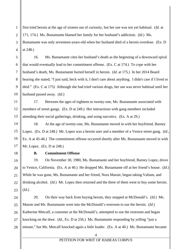1 2 3 4 first tried heroin at the age of sixteen out of curiosity, but her use was not yet habitual. (*Id.* at 171, 174.) Ms. Bustamante blamed her family for her husband's addiction. (*Id.*) Ms. Bustamante was only seventeen-years-old when her husband died of a heroin overdose. (Ex. D at 248.)

16. Ms. Bustamante cites her husband's death as the beginning of a downward spiral that would eventually lead to her commitment offense. (Ex. C at 174.) To cope with her husband's death, Ms. Bustamante buried herself in heroin. (*Id.* at 175.) In her 2014 Board hearing she stated, "I just said, heck with it, I don't care about anything. I didn't care if I lived or died." (Ex. C at 175) Although she had tried various drugs, her use was never habitual until her husband passed away. (*Id*.)

17. Between the ages of eighteen to twenty-one, Ms. Bustamante associated with members of street gangs. (Ex. D at 249.) Her interactions with gang members included attending their social gatherings, drinking, and using narcotics. (Ex. A at 29.)

18. At the age of twenty-one, Ms. Bustamante moved in with her boyfriend, Barney Lopez. (Ex. D at 248.) Mr. Lopez was a heroin user and a member of a Venice street gang. (*Id*., Ex. A at 45-46.) The commitment offense occurred shortly after Ms. Bustamante moved in with Mr. Lopez. (Ex. D at 248.)

#### **B. Commitment Offense**

5

6

7

8

9

10

11

12

13

14

15

16

17

18

19

20

21

22

23

19. On November 30, 1980, Ms. Bustamante and her boyfriend, Barney Lopez, drove to Venice, California. (Ex. A at 40.) He dropped Ms. Bustamante off at her friend's house. (*Id*.) While he was gone, Ms. Bustamante and her friend, Nora Massie, began taking Valium, and drinking alcohol. (*Id.*) Mr. Lopez then returned and the three of them went to buy some heroin. (*Id*.)

24 25 26 27 28 20. On their way back from buying heroin, they stopped at McDonald's. (*Id*.) Ms. Massie and Ms. Bustamante went into the McDonald's restroom to use the heroin. (*Id*.) Katherine Metcalf, a customer at the McDonald's, attempted to use the restroom and began knocking on the door. (*Id.*, Ex. D at 256.) Ms. Bustamante responding by yelling "just a minute," but Ms. Metcalf knocked again a little louder. (Ex. A at 40.) Ms. Bustamante became

4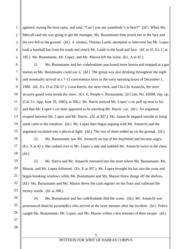agitated, swung the door open, and said, "Can't you see somebody's in here?" (*Id*.) When Ms. Metcalf said she was going to get the manager, Ms. Bustamante then struck her in the face and the two fell to the ground. (*Id*.) A witness, Thomas Lamb, attempted to intervene but Mr. Lopez took a baseball bat from his trunk and struck Mr. Lamb in the head and face. (*Id*. at 41, Ex. C at 185.) Ms. Bustamante, Mr. Lopez, and Ms. Massie left the scene. (Ex. A at 41.)

21. Ms. Bustamante and her codefendants purchased more heroin and stopped at a gas station so Ms. Bustamante could use it. (*Id*.) The group was also drinking throughout the night and eventually arrived at a 7-11 convenience store in the early morning hours of December 1, 1980. (*Id.*, Ex. D at 256-57.) Leon Harris, the store clerk, and Chi-Chi Amaechi, the store security guard were inside the store. (Ex. E, People v. Bustamante, 2d Crim. No. 42698, slip. op. (Cal. Ct. App. June 20, 1985), at 306.) Mr. Harris noticed Mr. Lopez's car pull up next to his and that Mr. Lopez's car door appeared to be touching Mr. Harris' car. (*Id*.) An argument erupted between Mr. Lopez and Mr. Harris. (*Id*. at 307.) Mr. Amaechi stepped outside to bring some calm to the situation. (*Id*.) Mr. Lopez then began arguing with Mr. Amaechi and the argument escalated into a physical fight. (*Id*.) The two of them ended up on the ground. (*Id.*)

22. Ms. Bustamante saw Mr. Amaechi on top of her boyfriend and became angry. (Ex. A at 42.) She rushed over to Mr. Lopez's side and stabbed Mr. Amaechi twice in the chest. (*Id.*)

23. Mr. Harris and Mr. Amaechi retreated into the store where Ms. Bustamante, Ms. Massie, and Mr. Lopez followed. (Ex. E at 307.) Mr. Lopez brought his bat into the store and began breaking windows while Ms. Bustamante and Ms. Massie threw things off the shelves. (*Id*.) Ms. Bustamante and Ms. Massie threw the cash register on the floor and collected the money inside. (*Id*. at 308.)

24. Ms. Bustamante and her codefendants fled the scene. (*Id.*) Mr. Amaechi was pronounced dead by paramedics who arrived at the store minutes after the incident. (*Id*.) Police caught Ms. Bustamante, Mr. Lopez, and Ms. Massie within a few minutes of their escape. (*Id*.)

1

2

3

4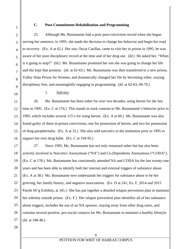1 2

3

4

5

6

7

8

9

10

11

12

13

14

15

16

17

18

19

20

21

22

23

24

25

26

#### **C. Post-Commitment Rehabilitation and Programming**

25. Although Ms. Bustamante had a poor post-conviction record when she began serving her sentence, in 1995, she made the decision to change her behavior and begin her road to recovery. (Ex. A at 62.) Her son, Oscar Casillas, came to visit her in prison in 1995, he was aware of her poor disciplinary record at the time and of her drug use. (*Id*.) He asked her, "When is it going to stop?" (*Id*.) Ms. Bustamante promised her son she was going to change her life and she kept that promise. (*Id*. at 62-63.) Ms. Bustamante was then transferred to a new prison, Valley State Prison for Women, and dramatically changed her life by becoming sober, staying disciplinary free, and meaningfully engaging in programming. (*Id*. at 62-63, 69-70.)

1. *Sobriety* 

26. Ms. Bustamante has been sober for over two decades, using heroin for the last time in 1995. (Ex. C at 176.) This stands in stark contrast to Ms. Bustamante's behavior prior to 1995, which includes several 115's for using heroin. (Ex. A at 60.) Ms. Bustamante was also found guilty of three in-prison convictions, one for possession of heroin, and two for possession of drug paraphernalia. (Ex. A at 32.) She also sold narcotics in the institution prior to 1995 to support her own drug habit. (Ex. C at 194-95.)

27. Since 1995, Ms. Bustamante has not only remained sober but has also been actively involved in Narcotics Anonymous ("NA") and Co-Dependents Anonymous ("CODA"). (Ex. C at 178.) Ms. Bustamante has consistently attended NA and CODA for the last twenty-one years and has been able to identify both her internal and external triggers of substance abuse. (Ex. A at 38.) Ms. Bustamante now understands her triggers for substance abuse to be her grieving, her family history, and negative associations. (Ex. D at 241, Ex. F, 2014 and 2015 Parole Hr'g Exhibits, at 341.) She has put together a detailed relapse prevention plan to maintain her sobriety outside prison. (Ex. F.) Her relapse prevention plan identifies all of her substance abuse triggers, includes the use of an NA sponsor, staying away from other drug users, and contains several positive, pro-social contacts for Ms. Bustamante to maintain a healthy lifestyle. (*Id*. at 340-46.)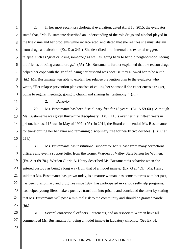1

2

3

4

28. In her most recent psychological evaluation, dated April 13, 2015, the evaluator stated that, "Ms. Bustamante described an understanding of the role drugs and alcohol played in the life crime and her problems while incarcerated, and stated that she realizes she must abstain from drugs and alcohol. (Ex. D at 241.) She described both internal and external triggers to relapse, such as 'grief or losing someone,' as well as, going back to her old neighborhood, seeing old friends or being around drugs." (*Id*.) Ms. Bustamante further explained that the reason drugs helped her cope with the grief of losing her husband was because they allowed her to be numb. (*Id*.) Ms. Bustamante was able to explain her relapse prevention plan to the evaluator who wrote, "Her relapse prevention plan consists of calling her sponsor if she experiences a trigger, going to regular meetings, going to church and sharing her testimony." (*Id*.)

2. *Behavior* 

29. Ms. Bustamante has been disciplinary-free for 18 years. (Ex. A 59-60.) Although Ms. Bustamante was given thirty-nine disciplinary CDCR 115's over her first fifteen years in prison, her last 115 was in May of 1997. (*Id*.) In 2014, the Board commended Ms. Bustamante for transforming her behavior and remaining disciplinary free for nearly two decades. (Ex. C at 221.)

30. Ms. Bustamante has institutional support for her release from many correctional officers and even a support letter from the former Warden of Valley State Prison for Women. (Ex. A at 69-70.) Warden Gloria A. Henry described Ms. Bustamante's behavior when she entered custody as being a long way from that of a model inmate. (Ex. G at 459.) Ms. Henry said that Ms. Bustamante has grown today, is a mature woman, has come to terms with her past, has been disciplinary and drug free since 1997, has participated in various self-help programs, has helped young lifers make a positive transition into prison, and concluded the letter by stating that Ms. Bustamante will pose a minimal risk to the community and should be granted parole. (*Id*.)

31. Several correctional officers, lieutenants, and an Associate Warden have all commended Ms. Bustamante for being a model inmate in laudatory chronos. (*See* Ex. H,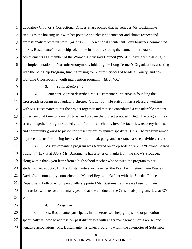4 5 6 7 8 Laudatory Chronos.) Correctional Officer Sharp opined that he believes Ms. Bustamante stabilizes the housing unit with her positive and pleasant demeanor and shows respect and professionalism towards staff. (*Id*. at 476.) Correctional Lieutenant Tony Martinez commented on Ms. Bustamante's leadership role in the institution, stating that some of her notable achievements as a member of the Woman's Advisory Council ("WAC") have been assisting in the implementation of Narcotic Anonymous, initiating the Long Termer's Organization, assisting with the Self Help Program, funding raising for Victim Services of Madera County, and cofounding Crossroads, a youth intervention program. (*Id*. at 466.)

# 3. *Youth Mentorship*

32. Lieutenant Moreno described Ms. Bustamante's initiative in founding the Crossroads program in a laudatory chrono. (*Id.* at 460.) He stated it was a pleasure working with Ms. Bustamante to put the project together and that she contributed a considerable amount of her personal time to research, type, and prepare the project proposal. (*Id*.) The program they created together brought troubled youth from local schools, juvenile facilities, recovery homes, and community groups to prison for presentations by inmate speakers. (*Id*.) The program aimed to prevent teens from being involved with criminal, gang, and substance abuse activities. (*Id.*)

33. Ms. Bustamante's program was featured on an episode of A&E's "Beyond Scared Straight." (Ex. F at 380.) Ms. Bustamante has a letter of thanks from the show's Producer, along with a thank you letter from a high school teacher who showed the program to her students. (*Id*. at 380-81.) Ms. Bustamante also presented the Board with letters from Wesley Davis Jr., a community counselor, and Manuel Reyes, an Officer with the Soledad Police Department, both of whom personally supported Ms. Bustamante's release based on their interaction with her over the many years that she conducted the Crossroads program. (*Id.* at 378- 79.)

1

2

3

9

10

11

12

13

14

15

16

17

18

19

20

21

22

23

24

25

## 4. *Programming*

26 27 28 34. Ms. Bustamante participates in numerous self-help groups and organizations specifically tailored to address her past difficulties with anger management, drug abuse, and negative associations. Ms. Bustamante has taken programs within the categories of Substance

8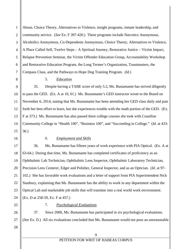1 2 3 4 5 6 7 Abuse, Choice Theory, Alternatives to Violence, insight programs, inmate leadership, and community service. (*See* Ex. F 397-420.) These programs include Narcotics Anonymous, Alcoholics Anonymous, Co-Dependents Anonymous, Choice Theory, Alternatives to Violence, A Place Called Self, Twelve Steps – A Spiritual Journey, Restorative Justice – Victim Impact, Relapse Prevention Seminar, the Victim Offender Education Group, Accountability Workshop and Restorative Education Program, the Long Termer's Organization, Toastmasters, the Compass Class, and the Pathways to Hope Dog Training Program. (*Id*.)

#### 5. *Education*

35. Despite having a TABE score of only 5.2, Ms. Bustamante has strived diligently to pass the GED. (Ex. A at 10, 61.) Ms. Bustamante's GED instructor wrote to the Board on November 6, 2014, stating that Ms. Bustamante has been attending her GED class daily and puts forth her best effort to learn, but she experiences trouble with the math portion of the GED. (Ex. F at 373.) Ms. Bustamante has also passed three college courses she took with Coastline Community College in "Health 100", "Business 100", and "Succeeding in College." (*Id*. at 433- 36.)

8

9

10

11

12

13

14

15

16

17

18

19

20

21

22

23

24

26

27

28

#### 6. *Employment and Skills*

36. Ms. Bustamante has fifteen years of work experience with PIA Optical. (Ex. A at 63-64.) During that time, Ms. Bustamante has completed certificates of proficiency as an Ophthalmic Lab Technician, Ophthalmic Lens Inspector, Ophthalmic Laboratory Technician, Precision Lens Centerer, Edger and Polisher, General Inspector, and as an Optician. (*Id*. at 97- 102.) She has favorable work evaluations and a letter of support from PIA Superintendent Nick Stanbury, explaining that Ms. Bustamante has the ability to work in any department within the Optical Lab and marketable job skills that will translate into a real world work environment. (Ex. D at 258-59, Ex. F at 457.)

25

# 7. *Psychological Evaluations*

 37. Since 2000, Ms. Bustamante has participated in six psychological evaluations. (*See* Ex. D.) All six evaluations concluded that Ms. Bustamante would not pose an unreasonable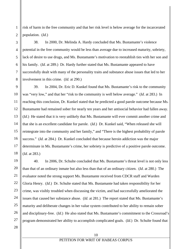risk of harm in the free community and that her risk level is below average for the incarcerated population. (*Id.*)

38. In 2000, Dr. Melinda A. Hardy concluded that Ms. Bustamante's violence potential in the free community would be less than average due to increased maturity, sobriety, lack of desire to use drugs, and Ms. Bustamante's motivation to reestablish ties with her son and his family. (*Id*. at 289.) Dr. Hardy further stated that Ms. Bustamante appeared to have successfully dealt with many of the personality traits and substance abuse issues that led to her involvement in this crime. (*Id.* at 290.)

39. In 2004, Dr. Eric D. Kunkel found that Ms. Bustamante's risk to the community was "very low," and that her "risk to the community is well below average." (*Id*. at 283.) In reaching this conclusion, Dr. Kunkel stated that he predicted a good parole outcome because Ms. Bustamante had remained sober for nearly ten years and her antisocial behavior had fallen away. (*Id*.) He stated that it is very unlikely that Ms. Bustamante will ever commit another crime and that she is an excellent candidate for parole. (*Id.*) Dr. Kunkel said, "When released she will reintegrate into the community and her family," and "There is the highest probability of parole success." (*Id.* at 284.) Dr. Kunkel concluded that because heroin addiction was the major determinate in Ms. Bustamante's crime, her sobriety is predictive of a positive parole outcome. (*Id*. at 283.)

40. In 2006, Dr. Schulte concluded that Ms. Bustamante's threat level is not only less than that of an ordinary inmate but also less than that of an ordinary citizen. (*Id*. at 280.) The evaluator noted the strong support Ms. Bustamante received from CDCR staff and Warden Gloria Henry. (*Id*.) Dr. Schulte stated that Ms. Bustamante had taken responsibility for her crime, was visibly troubled when discussing the victim, and had successfully ameliorated the issues that caused her substance abuse. (*Id*. at 281.) The report stated that Ms. Bustamante's maturity and deliberate changes in her value system contributed to her ability to remain sober and disciplinary-free. (*Id*.) He also stated that Ms. Bustamante's commitment to the Crossroad's program demonstrated her ability to accomplish complicated goals. (*Id*.) Dr. Schulte found that

1

2

3

4

5

6

7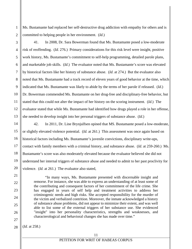Ms. Bustamante had replaced her self-destructive drug addiction with empathy for others and is committed to helping people in her environment. (*Id.*)

3 4

1

2

5

6

7

8

9

10

11

12

13

15

17

18

19

20

21

22

23

24

25

26

27

41. In 2008, Dr. Sara Bowerman found that Ms. Bustamante posed a low-moderate risk of reoffending. (*Id.* 276.) Primary considerations for this risk level were insight, positive work history, Ms. Bustamante's commitment to self-help programming, detailed parole plans, and marketable job skills. (*Id*.) The evaluator noted that Ms. Bustamante's score was elevated by historical factors like her history of substance abuse. (*Id*. at 274.) But the evaluator also noted that Ms. Bustamante had a track record of eleven years of good behavior at the time, which indicated that Ms. Bustamante was likely to abide by the terms of her parole if released. (*Id*.) Dr. Bowerman commended Ms. Bustamante on her drug-free and disciplinary-free behavior, but stated that this could not alter the impact of her history on the scoring instrument. (*Id*.) The evaluator stated that while Ms. Bustamante had identified how drugs played a role in her offense, she needed to develop insight into her personal triggers of substance abuse. (*Id*.)

14 16 42. In 2011, Dr. Line Brynjulfsen opined that MS. Bustamante posed a low-moderate, or slightly elevated violence potential. (*Id.* at 261.) This assessment was once again based on historical factors including Ms. Bustamante's juvenile convictions, disciplinary write-ups, contact with family members with a criminal history, and substance abuse. (*Id*. at 259-260.) Ms. Bustamante's score was also moderately elevated because the evaluator believed she did not understand her internal triggers of substance abuse and needed to admit to her past proclivity for violence. (*Id.* at 261.) The evaluator also stated,

> "In many ways, Ms. Bustamante presented with discernable insight and remorse. For instance, she was able to express an understanding of at least some of the contributing and consequent factors of her commitment of the life crime. She has engaged in years of self help and treatment activities to address her criminogenic needs and high risks. She accepted responsibility for the murder of the victim and verbalized contrition. Moreover, the inmate acknowledged a history of substance abuse problems, did not appear to minimize their extent, and was well able to list some of the external triggers of her substance use. She evidenced "insight" into her personality characteristics, strengths and weaknesses, and characterological and behavioral changes she has made over time."

28 (*Id.* at 258.)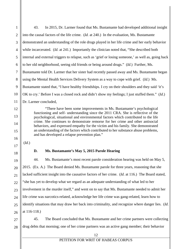|                | 43.<br>In 2015, Dr. Larmer found that Ms. Bustamante had developed additional insight                |
|----------------|------------------------------------------------------------------------------------------------------|
| $\overline{2}$ | into the causal factors of the life crime. $(Id.$ at 240.) In the evaluation, Ms. Bustamante         |
| 3              | demonstrated an understanding of the role drugs played in her life crime and her early behavior      |
|                | while incarcerated. (Id. at 241.) Importantly the clinician noted that, "She described both          |
| 5              | internal and external triggers to relapse, such as 'grief or losing someone,' as well as, going back |
| 6              | to her old neighborhood, seeing old friends or being around drugs." (Id.) Further, Ms.               |
| $\overline{7}$ | Bustamante told Dr. Larmer that her sister had recently passed away and Ms. Bustamante began         |
| 8              | using the Mental Health Services Delivery System as a way to cope with grief. (Id.) Ms.              |
| 9              | Bustamante stated that, "I have healthy friendships. I cry on their shoulders and they said 'it's    |
| 10             | OK to cry.' Before I was a closed rock and didn't show my feelings; I just stuffed them." (Id.)      |
| 11             | Dr. Larmer concluded,                                                                                |
|                |                                                                                                      |

"There have been some improvements in Ms. Bustamante's psychological functioning and self- understanding since the 2011 CRA. She is reflective of the psychological, situational and environmental factors which contributed to the life crime. She continues to demonstrate remorse for her crime and other antisocial behaviors, and expressed empathy for the victim and his family. She demonstrated an understanding of the factors which contributed to her substance abuse problems, and has developed a relapse prevention plan."

(*Id.*)

# **D. Ms. Bustamante's May 5, 2015 Parole Hearing**

 44. Ms. Bustamante's most recent parole consideration hearing was held on May 5, 2015. (Ex. A.) The Board denied Ms. Bustamante parole for three years, reasoning that she lacked sufficient insight into the causative factors of her crime. (*Id.* at 116.) The Board stated, "she has yet to develop what we regard as an adequate understanding of what led to her involvement in the murder itself," and went on to say that Ms. Bustamante needed to admit her life crime was narcotics-related, acknowledge her life crime was gang-related, learn how to identify situations that may draw her back into criminality, and recognize where danger lies. (*Id*. at 116-118.)

27 28 45. The Board concluded that Ms. Bustamante and her crime partners were collecting drug debts that morning; one of her crime partners was an active gang member; their behavior

12

13

14

15

16

17

18

19

20

21

22

23

24

25

26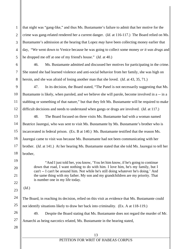4 that night was "gang-like," and thus Ms. Bustamante's failure to admit that her motive for the crime was gang-related rendered her a current danger. (*Id.* at 116-117.) The Board relied on Ms. Bustamante's admission at the hearing that Lopez *may* have been collecting money earlier that day, "We went down to Venice because he was going to collect some money *or it was drugs* and he dropped me off at one of my friend's house." (*Id.* at 40.)

46. Ms. Bustamante admitted and discussed her motives for participating in the crime. She stated she had learned violence and anti-social behavior from her family, she was high on heroin, and she was afraid of losing another man that she loved. (*Id*. at 43, 35, 71.)

 47. In its decision, the Board stated, "The Panel is not necessarily suggesting that Ms. Bustamante is likely, when paroled, and we believe she will parole, become involved in a -- in a stabbing or something of that nature," but that they felt Ms. Bustamante will be required to make difficult decisions and needs to understand when gangs or drugs are involved. (*Id.* at 117.)

 48. The Board focused on three visits Ms. Bustamante had with a woman named Beatrice Jauregui, who was sent to visit Ms. Bustamante by Ms. Bustamante's brother who is incarcerated in federal prison. (Ex. B at 140.) Ms. Bustamante testified that the reason Ms. Jauregui came to visit was because Ms. Bustamante had not been communicating with her brother. (*Id*. at 141.) At her hearing Ms. Bustamante stated that she told Ms. Jauregui to tell her brother,

"And I just told her, you know, 'You let him know, if he's going to continue down that road, I want nothing to do with him. I love him, he's my family, but I can't -- I can't be around him. Not while he's still doing whatever he's doing.' And the same thing with my father. My son and my grandchildren are my priority. That is number one in my life today.

(*Id.*)

The Board, in reaching its decision, relied on this visit as evidence that Ms. Bustamante could not identify situations likely to draw her back into criminality. (Ex. A at 118-119.)

26 27 49. Despite the Board stating that Ms. Bustamante does not regard the murder of Mr. Amaechi as being narcotics related, Ms. Bustamante in the hearing stated,

28

1

2

3

5

6

7

8

9

10

11

12

13

14

15

16

17

18

19

20

21

22

23

24

25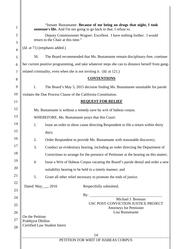| $\mathbf{1}$        | "Inmate Bustamante: Because of me being on drugs that night, I took                                          |
|---------------------|--------------------------------------------------------------------------------------------------------------|
|                     | someone's life. And I'm not going to go back to that. I refuse to.                                           |
| $\overline{2}$<br>3 | Deputy Commissioner Wagner: Excellent. I have nothing further. I would<br>return to the Chair at this time." |
| $\overline{4}$      | (Id. at 71) (emphasis added.)                                                                                |
| 5                   | 50.<br>The Board recommended that Ms. Bustamante remain disciplinary-free, continue                          |
| 6                   | her current positive programming, and take whatever steps she can to distance herself from gang-             |
| $\overline{7}$      | related criminality, even when she is not inviting it. ( <i>Id.</i> at 121.)                                 |
| 8                   | <b>CONTENTIONS</b>                                                                                           |
| 9                   | I.<br>The Board's May 5, 2015 decision finding Ms. Bustamante unsuitable for parole                          |
| 10                  | violates the Due Process Clause of the California Constitution.                                              |
| 11                  | <b>REQUEST FOR RELIEF</b>                                                                                    |
| 12                  | Ms. Bustamante is without a remedy save by writ of habeas corpus.                                            |
| 13                  | WHEREFORE, Ms. Bustamante prays that this Court:                                                             |
| 14                  | 1.<br>Issue an order to show cause directing Respondent to file a return within thirty                       |
| 15                  | days;                                                                                                        |
| 16                  | 2.<br>Order Respondent to provide Ms. Bustamante with reasonable discovery;                                  |
| 17                  | 3.<br>Conduct an evidentiary hearing, including an order directing the Department of                         |
| 18                  | Corrections to arrange for the presence of Petitioner at the hearing on this matter;                         |
| 19                  | $\overline{4}$ .<br>Issue a Writ of Habeas Corpus vacating the Board's parole denial and order a new         |
| 20                  | suitability hearing to be held in a timely manner; and                                                       |
| 21                  | 5.<br>Grant all other relief necessary to promote the ends of justice.                                       |
| 22                  | Dated: May__, 2016<br>Respectfully submitted,                                                                |
| 23                  | By: $\overline{\phantom{a}}$                                                                                 |
| 24                  | Michael J. Brennan<br>USC POST-CONVICTION JUSTICE PROJECT                                                    |
| 25<br>26            | <b>Attorneys for Petitioner</b><br>Lisa Bustamante                                                           |
|                     | On the Petition:                                                                                             |
| 27                  | Prabhjyot Dhillon<br>Certified Law Student Intern                                                            |
| 28                  |                                                                                                              |
|                     | 14<br>PETITION FOR WRIT OF HABEAS CORPUS                                                                     |
|                     |                                                                                                              |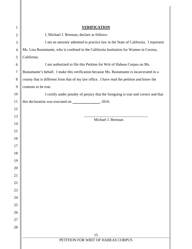| 1                | <b>VERIFICATION</b>                                                                        |
|------------------|--------------------------------------------------------------------------------------------|
| $\mathbf{2}$     | I, Michael J. Brennan, declare as follows:                                                 |
| $\mathfrak{Z}$   | I am an attorney admitted to practice law in the State of California. I represent          |
| $\overline{4}$   | Ms. Lisa Bustamante, who is confined in the California Institution for Women in Corona,    |
| 5                | California.                                                                                |
| 6                | I am authorized to file this Petition for Writ of Habeas Corpus on Ms.                     |
| $\boldsymbol{7}$ | Bustamante's behalf. I make this verification because Ms. Bustamante is incarcerated in a  |
| 8                | county that is different from that of my law office. I have read the petition and know the |
| 9                | contents to be true.                                                                       |
| 10               | I certify under penalty of perjury that the foregoing is true and correct and that         |
| 11               |                                                                                            |
| 12               |                                                                                            |
| 13               | Michael J. Brennan                                                                         |
| 14               |                                                                                            |
| 15               |                                                                                            |
| 16               |                                                                                            |
| 17               |                                                                                            |
| 18               |                                                                                            |
| 19               |                                                                                            |
| 20               |                                                                                            |
| 21               |                                                                                            |
| 22               |                                                                                            |
| 23               |                                                                                            |
| 24               |                                                                                            |
| 25               |                                                                                            |
| 26               |                                                                                            |
| 27               |                                                                                            |
| 28               |                                                                                            |
|                  | 15<br>PETITION FOR WRIT OF HABEAS CORPUS                                                   |
|                  |                                                                                            |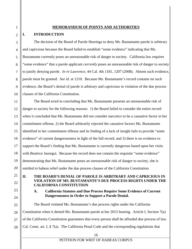#### **MEMORANDUM OF POINTS AND AUTHORITIES**

# **I. INTRODUCTION**

1

2

3

4

5

6

7

8

9

10

11

12

13

14

15

16

17

18

19

20

21

22

23

24

The decision of the Board of Parole Hearings to deny Ms. Bustamante parole is arbitrary and capricious because the Board failed to establish "some evidence" indicating that Ms. Bustamante currently poses an unreasonable risk of danger to society. California law requires "some evidence" that a parole applicant *currently* poses an unreasonable risk of danger to society to justify denying parole. *In re Lawrence,* 44 Cal. 4th 1181, 1207 (2008). Absent such evidence, parole must be granted. *See id.* at 1210. Because Ms. Bustamante's record contains no such evidence, the Board's denial of parole is arbitrary and capricious in violation of the due process clauses of the California Constitution.

The Board erred in concluding that Ms. Bustamante presents an unreasonable risk of danger to society for the following reasons: 1) the Board failed to consider the entire record when it concluded that Ms. Bustamante did not consider narcotics to be a causative factor in her commitment offense, 2) the Board arbitrarily rejected the causative factors Ms. Bustamante identified in her commitment offense and its finding of a lack of insight fails to provide "some evidence" of current dangerousness in light of the full record, and 3) there is no evidence to support the Board's finding that Ms. Bustamante is currently dangerous based upon her visits with Beatrice Jauregui. Because the record does not contain the requisite "some evidence" demonstrating that Ms. Bustamante poses an unreasonable risk of danger to society, she is entitled to habeas relief under the due process clauses of the California Constitution.

**II. THE BOARD'S DENIAL OF PAROLE IS ARBITRARY AND CAPRICIOUS IN VIOLATION OF MS. BUSTAMANTE'S DUE PROCESS RIGHTS UNDER THE CALIFORNIA CONSTITUTION** 

#### **A. California Statutes and Due Process Require Some Evidence of Current Dangerousness in Order to Support a Parole Denial.**

25 26 27 28 The Board violated Ms. Bustamante's due process rights under the California Constitution when it denied Ms. Bustamante parole at her 2015 hearing. Article I, Section 7(a) of the California Constitution guarantees that every person shall be afforded due process of law. Cal. Const. art. I, § 7(a). The California Penal Code and the corresponding regulations that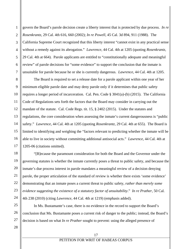1 2 3 4 5 6 7 govern the Board's parole decision create a liberty interest that is protected by due process. *In re Rosenkrantz*, 29 Cal. 4th 616, 660 (2002); *In re Powell*, 45 Cal. 3d 894, 911 (1988). The California Supreme Court recognized that this liberty interest "cannot exist in any practical sense without a remedy against its abrogation." *Lawrence*, 44 Cal. 4th at 1205 (quoting *Rosenkrantz*, 29 Cal. 4th at 664). Parole applicants are entitled to "constitutionally adequate and meaningful review" of parole decisions for "some evidence" to support the conclusion that the inmate is unsuitable for parole because he or she is currently dangerous. *Lawrence*, 44 Cal. 4th at 1205.

The Board is required to set a release date for a parole applicant within one year of her minimum eligible parole date and may deny parole only if it determines that public safety requires a longer period of incarceration. Cal. Pen. Code § 3041(a)-(b) (2015). The California Code of Regulations sets forth the factors that the Board may consider in carrying out the mandate of the statute. Cal. Code Regs. tit. 15, § 2402 (2015). Under the statutes and regulations, the core consideration when assessing the inmate's current dangerousness is "public safety." *Lawrence*, 44 Cal. 4th at 1205 (quoting *Rosenkrantz*, 29 Cal. 4th at 655). The Board is limited to identifying and weighing the "factors relevant to predicting whether the inmate will be able to live in society without committing additional antisocial acts." *Lawrence*, 44 Cal. 4th at 1205-06 (citations omitted).

 "[B]ecause the paramount consideration for both the Board and the Governor under the governing statutes is whether the inmate currently poses a threat to public safety, and because the inmate's due process interest in parole mandates a meaningful review of a decision denying parole, the proper articulation of the standard of review is whether there exists 'some evidence' demonstrating that an inmate poses a current threat to public safety, *rather than merely some evidence suggesting the existence of a statutory factor of unsuitability*." *In re Prather*, 50 Cal. 4th 238 (2010) (citing *Lawrence*, 44 Cal. 4th at 1219) (emphasis added).

25 26 In Ms. Bustamante's case, there is no evidence in the record to support the Board's conclusion that Ms. Bustamante poses a current risk of danger to the public; instead, the Board's decision is based on what *In re Prather* sought to prevent: using the alleged presence of

8

9

10

11

12

13

14

15

16

17

18

19

20

21

22

23

24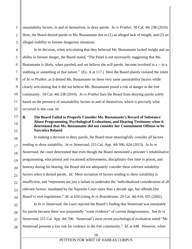1 2 unsuitability factors, in and of themselves, to deny parole. *In re Prather*, 50 Cal. 4th 238 (2010). Here, the Board denied parole to Ms. Bustamante due to (1) an alleged lack of insight, and (2) an alleged inability to foresee dangerous situations.

 In its decision, when articulating that they believed Ms. Bustamante lacked insight and an ability to foresee danger, the Board stated, "The Panel is not necessarily suggesting that Ms. Bustamante is likely, when paroled, and we believe she will parole, become involved in a -- in a stabbing or something of that nature." (Ex. A at 117.) Here the Board plainly violated the intent of *In re Prather*, as it denied Ms. Bustamante on these very same unsuitability factors while clearly articulating that it did not believe Ms. Bustamante posed a risk of danger in the free community. 50 Cal. 4th 238 (2010). *In re Prather* bars the Board from denying parole solely based on the presence of unsuitability factors in and of themselves, which is precisely what occurred in this case. *Id*.

# **B. The Board Failed to Properly Consider Ms. Bustamante's Record of Substance Abuse Programming, Psychological Evaluations, and Hearing Testimony when it determined that Ms. Bustamante did not consider her Commitment Offense to be Narcotics Related**

In making a decision to deny parole, the Board must meaningfully consider all factors tending to show suitability. *In re Stoneroad*, 215 Cal. App. 4th 596, 624 (2013). In *In re Stoneroad,* the court determined that even though the Board mentioned a prisoner's rehabilitative programming, educational and vocational achievements, disciplinary-free time in prison, and honesty during his hearing, the Board did not adequately consider these relevant suitability factors when it denied parole. *Id*. Mere recitation of factors tending to show suitability is insufficient, and "represents not just a failure to undertake the 'individualized consideration of all relevant factors' mandated by the Supreme Court more than a decade ago, but offends [the Board's] own regulations." *Id*. at 624 (citing *In re Rosenkrantz*, 29 Cal. 4th 616, 655 (2002).

In *In re Stoneroad*, the court rejected the Board's finding that Stoneroad was unsuitable for parole because there was purportedly "some evidence" of current dangerousness. See *In re Stoneroad*, 215 Cal. App. 4th 596. Stoneroad's most recent psychological evaluation noted "Mr. Stoneroad presents a low risk for violence in the free community." *Id*. at 648. However, when

#### 18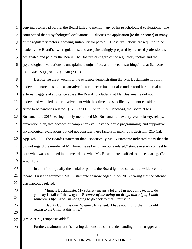1 denying Stoneroad parole, the Board failed to mention any of his psychological evaluations. The court stated that "Psychological evaluations . . . discuss the application [to the prisoner] of many of the regulatory factors [showing suitability for parole]. These evaluations are required to be made by the Board's own regulations, and are painstakingly prepared by licensed professionals designated and paid by the Board. The Board's disregard of the regulatory factors and the psychological evaluations is unexplained, unjustified, and indeed disturbing." *Id*. at 624, *See* Cal. Code Regs., tit. 15, § 2240 (2015).

Despite the great weight of the evidence demonstrating that Ms. Bustamante not only understood narcotics to be a causative factor in her crime, but also understood her internal and external triggers of substance abuse, the Board concluded that Ms. Bustamante did not understand what led to her involvement with the crime and specifically did not consider the crime to be narcotics related. (Ex. A at 116.) As in *In re Stoneroad*, the Board at Ms. Bustamante's 2015 hearing merely mentioned Ms. Bustamante's twenty-year sobriety, relapse prevention plan, two decades of comprehensive substance abuse programming, and supportive psychological evaluations but did not consider these factors in making its decision. 215 Cal. App. 4th 596. The Board's statement that, "specifically Ms. Bustamante indicated today that she did not regard the murder of Mr. Amechie as being narcotics related," stands in stark contrast to both what was contained in the record and what Ms. Bustamante testified to at the hearing. (Ex. A at 116.)

In an effort to justify the denial of parole, the Board ignored substantial evidence in the record. First and foremost, Ms. Bustamante acknowledged in her 2015 hearing that the offense was narcotics related,

"Inmate Bustamante: My sobriety means a lot and I'm not going to, how do you say it, fall off the wagon. *Because of me being on drugs that night, I took someone's life.* And I'm not going to go back to that. I refuse to.

Deputy Commissioner Wagner: Excellent. I have nothing further. I would return to the Chair at this time."

(Ex. A at 71) (emphasis added).

Further, testimony at this hearing demonstrates her understanding of this trigger and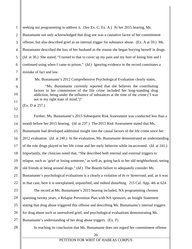3 4 5 6 seeking out programming to address it. (*See* Ex. C, Ex. A.) At her 2015 hearing, Ms. Bustamante not only acknowledged that drug use was a causative factor of her commitment offense, but also described grief as an internal trigger for substance abuse. (Ex. A at 59.) Ms. Bustamante described the loss of her husband as the reason she began burying herself in drugs. (*Id*. at 30.) She stated, "I turned to that to cover up my pain and my hurt of losing him and I continued using when I came to prison." (*Id*.) Ignoring evidence in the record constitutes a mistake of fact and law.

Ms. Bustamante's 2012 Comprehensive Psychological Evaluation clearly states,

"Ms. Bustamante currently reported that she believes the contributing factors to her commission of the life crime included her long-standing drug addiction, being under the influence of substances at the time of the crime ('I was not in my right state of mind.')"

(Ex. D at 257.)

1

2

7

8

9

10

11

12

13

14

15

16

17

18

19

20

21

22

23

24

25

26

27

Further, Ms. Bustamante's 2015 Subsequent Risk Assessment was conducted less than a month before her 2015 hearing. (*Id.* at 237.) The 2015 Risk Assessment stated that Ms. Bustamante had developed additional insight into the causal factors of the life crime since her 2012 evaluation. (*Id.* at 240.) In the evaluation, Ms. Bustamante demonstrated an understanding of the role drugs played in her life crime and her early behavior while incarcerated. (*Id.* at 241.) Importantly, the clinician noted that, "She described both internal and external triggers to relapse, such as 'grief or losing someone,' as well as, going back to her old neighborhood, seeing old friends or being around drugs." (*Id*.) The Boards failure to adequately consider Ms. Bustamante's psychological evaluations is a clearly a violation of *In re Stoneroad*, and, as it was in that case, here it is unexplained, unjustified, and indeed disturbing. 215 Cal. App. 4th at 624.

The record at Ms. Bustamante's 2015 hearing included, NA programming chronos spanning twenty years, a Relapse Prevention Plan with NA sponsors, an Insight Statement stating that drug abuse triggered this offense and describing Ms. Bustamante's internal triggers for drug abuse such as unresolved grief, and psychological evaluations demonstrating Ms. Bustamante's understanding of her drug abuse triggers. (Ex. F)

28

In reaching its conclusion that Ms. Bustamante does not regard her commitment offense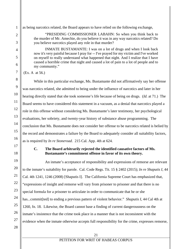8

9

10

11

12

13

14

15

16

17

18

19

20

21

22

23

24

25

26

27

28

as being narcotics related, the Board appears to have relied on the following exchange,

"PRESIDING COMMISSIONER LABAHN: So when you think back to the murder of Mr. Amechie, do you believe it was in any way narcotics related? Do you believe narcotics played any role in that murder?

INMATE BUSTAMANTE: I was on a lot of drugs and when I look back now it's very painful because I pray for -- I've prayed for my victim and I've worked on myself to really understand what happened that night. And I realize that I have caused a horrible crime that night and caused a lot of pain to a lot of people and to my community."

(Ex. A at 56.)

While in this particular exchange, Ms. Bustamante did not affirmatively say her offense was narcotics related, she admitted to being under the influence of narcotics and later in her hearing directly stated that she took someone's life because of being on drugs. (*Id.* at 71.) The Board seems to have considered this statement in a vacuum, as a denial that narcotics played a role in this offense without considering Ms. Bustamante's later testimony, her psychological evaluations, her sobriety, and twenty-year history of substance abuse programming. The conclusion that Ms. Bustamante does not consider her offense to be narcotics related is belied by the record and demonstrates a failure by the Board to adequately consider all suitability factors, as is required by *In re Stoneroad*. 215 Cal. App. 4th at 624.

# **C. The Board arbitrarily rejected the identified causative factors of Ms. Bustamante's commitment offense in favor of its own theory.**

 An inmate's acceptance of responsibility and expressions of remorse are relevant to the inmate's suitability for parole. Cal. Code Regs. Tit. 15 § 2402 (2015); *In re Shaputis I*, 44 Cal. 4th 1241, 1246 (2008) [Shaputis I]. The California Supreme Court has emphasized that, "expressions of insight and remorse will vary from prisoner to prisoner and that there is no special formula for a prisoner to articulate in order to communicate that he or she has...commit[ted] to ending a previous pattern of violent behavior." *Shaputis I*, 44 Cal 4th at 1260, fn. 18. Likewise, the Board cannot base a finding of current dangerousness on the inmate's insistence that the crime took place in a manner that is not inconsistent with the evidence when the inmate otherwise accepts full responsibility for the crime, expresses remorse,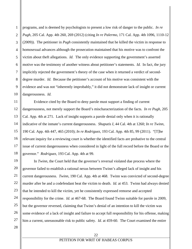4 5 6 8 10 programs, and is deemed by psychologists to present a low risk of danger to the public. *In re Pugh*, 205 Cal. App. 4th 260, 269 (2012) (citing *In re Palermo*, 171 Cal. App. 4th 1096, 1110-12 (2009)). The petitioner in *Pugh* consistently maintained that he killed the victim in response to homosexual advances although the prosecution maintained that his motive was to confront the victim about theft allegations. *Id.* The only evidence supporting the government's asserted motive was the testimony of another witness about petitioner's statements. *Id.* In fact, the jury implicitly rejected the government's theory of the case when it returned a verdict of seconddegree murder. *Id.* Because the petitioner's account of his motive was consistent with the evidence and was not "inherently improbably," it did not demonstrate lack of insight or current dangerousness. *Id.*

Evidence cited by the Board to deny parole must support a finding of current dangerousness, not merely support the Board's mischaracterization of the facts. *In re Pugh*, 205 Cal. App. 4th at 271. Lack of insight supports a parole denial only when it is rationally indicative of the inmate's current dangerousness. *Shaputis I*, 44 Cal. 4th at 1260; *In re Twinn*, 190 Cal. App. 4th 447, 465 (2010); *In re Rodriguez*, 193 Cal. App. 4th 85, 99 (2011). "[T]he relevant inquiry for a reviewing court is whether the identified facts are probative to the central issue of current dangerousness when considered in light of the full record before the Board or the governor." *Rodriguez*, 193 Cal. App. 4th at 99.

In *Twinn*, the Court held that the governor's reversal violated due process where the governor failed to establish a rational nexus between Twinn's alleged lack of insight and his current dangerousness. *Twinn*, 190 Cal. App. 4th at 468. Twinn was convicted of second-degree murder after he and a codefendant beat the victim to death. *Id.* at 453. Twinn had always denied that he intended to kill the victim, yet he consistently expressed remorse and accepted responsibility for the crime. *Id.* at 467-68. The Board found Twinn suitable for parole in 2009, but the governor reversed, claiming that Twinn's denial of an intention to kill the victim was some evidence of a lack of insight and failure to accept full responsibility for his offense, making him a current, unreasonable risk to public safety. *Id.* at 459-60. The Court examined the entire

28

1

2

3

7

9

11

12

13

14

15

16

17

18

19

20

21

22

23

24

25

26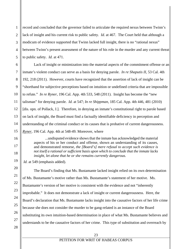record and concluded that the governor failed to articulate the required nexus between Twinn's lack of insight and his current risk to public safety. *Id.* at 467. The Court held that although a modicum of evidence supported that Twinn lacked full insight, there is no "rational nexus" between Twinn's present assessment of the nature of his role in the murder and any current threat to public safety. *Id.* at 471.

Lack of insight or minimization into the material aspects of the commitment offense or an inmate's violent conduct can serve as a basis for denying parole. *In re Shaputis II,* 53 Cal. 4th 192, 218 (2011). However, courts have recognized that the assertion of lack of insight can be "shorthand for subjective perceptions based on intuition or undefined criteria that are impossible to refute." *In re Ryner*, 196 Cal. App. 4th 533, 548 (2011). Insight has become the "new talisman" for denying parole. *Id.* at 547; *In re Shippman*, 185 Cal. App. 4th 446, 481 (2010) [dis. opn. of Pollack, J.]. Therefore, in denying an inmate's constitutional right to parole based on lack of insight, the Board must find a factually identifiable deficiency in perception and understanding of the criminal conduct or its causes that is probative of current dangerousness. *Ryner*, 196 Cal. App. 4th at 548-49. Moreover, where

...undisputed evidence shows that the inmate has acknowledged the material aspects of his or her conduct and offense, shown an understanding of its causes, and demonstrated remorse, *the [Board's] mere refusal to accept such evidence is not itself a rational or sufficient basis upon which to conclude that the inmate lacks insight, let alone that he or she remains currently dangerous.* 

 *Id.* at 549 (emphasis added).

 The Board's finding that Ms. Bustamante lacked insight relied on its own determination of Ms. Bustamante's motive rather than Ms. Bustamante's statement of her motive. Ms. Bustamante's version of her motive is consistent with the evidence and not "inherently improbable." It does not demonstrate a lack of insight or current dangerousness. Here, the Board's declaration that Ms. Bustamante lacks insight into the causative factors of her life crime because she does not consider the murder to be gang-related is an instance of the Board substituting its own intuition-based determination in place of what Ms. Bustamante believes and understands to be the causative factors of her crime. This type of substitution and overreach by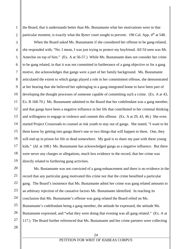the Board, that it understands better than Ms. Bustamante what her motivations were in that particular moment, is exactly what the *Ryner* court sought to prevent. 196 Cal. App. 4<sup>th</sup> at 548.

When the Board asked Ms. Bustamante if she considered her offense to be gang-related, she responded with, "No. I mean, I was just trying to protect my boyfriend. All I'd seen was Mr. Amechie on top of him." (Ex. A at 56-57.) While Ms. Bustamante does not consider her crime to be gang related, in that it was not committed in furtherance of a gang objective or for a gang motive, she acknowledges that gangs were a part of her family background. Ms. Bustamante articulated the extent to which gangs played a role in her commitment offense, she demonstrated at her hearing that she believed her upbringing in a gang-integrated home to have been part of developing the thought processes of someone capable of committing such a crime. (Ex. A at 43, Ex. B 168-70.) Ms. Bustamante admitted to the Board that her codefendant was a gang member, and that gangs have been a negative influence in her life that contributed to her criminal thinking and willingness to engage in violence and commit this offense. (Ex. A at 29, 43, 46.) She even started Project Crossroads to counsel at risk youth to stay out of gangs. She stated, "I want to let them know by getting into gangs there's one or two things that will happen to them. One, they will end up in prison for life or dead somewhere. My goal is to share my past with these young kids." (*Id*. at 108.) Ms. Bustamante has acknowledged gangs as a negative influence. But there were never any charges or allegations, much less evidence in the record, that her crime was directly related to furthering gang activities.

 Ms. Bustamante was not convicted of a gang-enhancement and there is no evidence in the record that any particular gang motivated this crime nor that the crime benefited a particular gang. The Board's insistence that Ms. Bustamante admit her crime was gang related amounts to an arbitrary rejection of the causative factors Ms. Bustamante identified. In reaching its conclusion that Ms. Bustamante's offense was gang related the Board relied on Ms. Bustamante's codefendant being a gang member, the attitude he expressed, the attitude Ms. Bustamante expressed, and "what they were doing that evening was all gang related." (Ex. A at 117.) The Board further referenced that Ms. Bustamante and her crime partners were collecting

1

2

3

4

5

6

7

8

9

10

11

12

13

14

15

16

17

18

19

20

21

22

23

24

25

26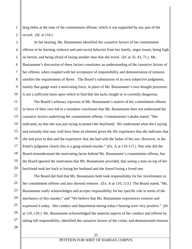drug debts at the time of the commitment offense, which is not supported by any part of the record. (*Id*. at 116.)

At her hearing, Ms. Bustamante identified the causative factors of her commitment offense to be learning violence and anti-social behavior from her family, anger issues, being high on heroin, and being afraid of losing another man that she loved. (*Id*. at 35, 43, 71.) Ms. Bustamante's discussion of these factors constitutes an understanding of the causative factors of her offense, when coupled with her acceptance of responsibility and demonstration of remorse satisfies the requirements of *Ryner.* The Board's substitution of its own subjective judgments, mainly that gangs were a motivating force, in place of Ms. Bustamante's own thought processes is not a sufficient basis upon which to find that she lacks insight or is currently dangerous.

The Board's arbitrary rejection of Ms. Bustamante's motive of her commitment offense in favor of their own led to a mistaken conclusion that Ms. Bustamante does not understand the causative factors underlying her commitment offense. Commissioner Labahn stated, "She indicated, no that she was just trying to protect her boyfriend. We understand what she's saying and certainly that may well have been an element given the life experience that she indicates that she had prior to that and the experience that she had with the father of her son. However, in the Panel's judgment clearly this is a gang-related murder." (Ex. A at 116-117.) Not only did the Board misunderstand the motivating factor behind Ms. Bustamante's commitment offense, but the Board ignored the motivation that Ms. Bustamante provided, that seeing a man on top of her boyfriend took her back to losing her husband and she feared losing a loved one.

The Board did find that Ms. Bustamante both took responsibility for her involvement in her commitment offense and also showed remorse. (Ex. A at 110, 113.) The Board stated, "Ms. Bustamante really acknowledges and accepts responsibility for her specific role in terms of the mechanics of this murder," and "We believe that Ms. Bustamante experiences remorse and expressed it today. Her conduct and deportment during today's hearing were very positive." (*Id*. at 110, 120.) Ms. Bustamante acknowledged the material aspects of her conduct and offense by taking full responsibility, identified the causative factors of her crime, and demonstrated remorse

28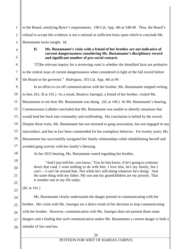to the Board, satisfying *Ryner*'s requirements. 196 Cal. App. 4th at 548-49. Thus, the Board's refusal to accept this evidence is not a rational or sufficient basis upon which to conclude Ms. Bustamante lacks insight. *Id*.

# **D. Ms. Bustamante's visits with a friend of her brother are not indicative of current dangerousness considering Ms. Bustamante's disciplinary record and significant number of pro-social contacts**

 "[T]he relevant inquiry for a reviewing court is whether the identified facts are probative to the central issue of current dangerousness when considered in light of the full record before the Board or the governor." *Rodriguez*, 193 Cal. App. 4th at 99.

9 10 11 12 13 14 15 16 17 In an effort to cut off communications with her brother, Ms. Bustamante stopped writing to him. (Ex. B at 141.) As a result, Beatrice Jauregui, a friend of her brother, visited Ms. Bustamante to see how Ms. Bustamante was doing. (*Id*. at 140.) At Ms. Bustamante's hearing, Commissioner LaBahn concluded that Ms. Bustamante was unable to identify situations that would lead her back into criminality and reoffending. His conclusion is belied by the record. Despite these visits, Ms. Bustamante has not returned to gang association, has not engaged in any misconduct, and has in fact been commended for her exemplary behavior. For twenty years, Ms. Bustamante has successfully navigated her family relationships while rehabilitating herself and

avoided gang activity with her family's blessing.

At her 2015 hearing, Ms. Bustamante stated regarding her brother,

"And I just told her, you know, 'You let him know, if he's going to continue down that road, I want nothing to do with him. I love him, he's my family, but I can't -- I can't be around him. Not while he's still doing whatever he's doing.' And the same thing with my father. My son and my grandchildren are my priority. That is number one in my life today.

(*Id.* at 141.)

1

2

3

4

5

6

7

8

18

19

20

21

22

23

24

25

26

27

28

Ms. Bustamante clearly understands the danger present in communicating with her brother. Her visits with Ms. Jauregui are a direct result of her decision to stop communicating with her brother. However, communication with Ms. Jauregui does not present those same dangers and a finding that such communication makes Ms. Bustamante a current danger is both a mistake of fact and law.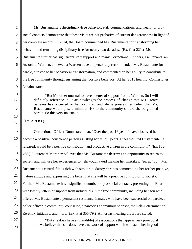1 2 3 4 5 6 7 8 9 10 Ms. Bustamante's disciplinary-free behavior, staff commendations, and wealth of prosocial contacts demonstrate that these visits are not probative of current dangerousness in light of her complete record. In 2014, the Board commended Ms. Bustamante for transforming her behavior and remaining disciplinary free for nearly two decades. (Ex. C at 221.) Ms. Bustamante further has significant staff support and many Correctional Officers, Lieutenants, an Associate Warden, and even a Warden have all personally recommended Ms. Bustamante for parole, attested to her behavioral transformation, and commented on her ability to contribute to the free community through sustaining that positive behavior. At her 2015 hearing, Comissioner Labahn stated, "But it's rather unusual to have a letter of support from a Warden. So I will

definitely reference it. It acknowledges the process of change that Ms. Henry believes has occurred or had occurred and she expresses her belief that Ms. Bustamante would pose a minimal risk to the community should she be granted parole. So this very unusual."

(Ex. A at 83.)

11

12

13

14

15

16

17

18

19

20

21

22

23

24

25

26

27

28

Correctional Officer Dunn stated that, "Over the past 16 years I have observed her become a positive, conscience person assisting her fellow peers. I feel that I/M Bustamante, if released, would be a positive contribution and productive citizen in the community." (Ex. H at 465.) Lieutenant Martinez believes that Ms. Bustamante deserves an opportunity to return to society and will use her experiences to help youth avoid making her mistakes. (*Id*. at 466.) Ms. Bustamante's central-file is rich with similar laudatory chronos commending her for her positive, mature attitude and expressing the belief that she will be a positive contributor to society. Further, Ms. Bustamante has a significant number of pro-social contacts, presenting the Board with twenty letters of support from individuals in the free community, including her son who offered Ms. Bustamante a permanent residence, inmates who have been successful on parole, a police officer, a community counselor, a narcotics anonymous sponsor, the Self-Determination Re-entry Initiative, and more. (Ex. F at 355-79.) At her last hearing the Board stated,

"But she does have a (inaudible) of associations that appear very pro-social and we believe that she does have a network of support which will stand her in good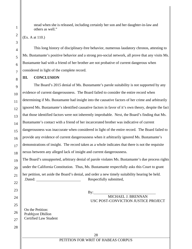stead when she is released, including certainly her son and her daughter-in-law and others as well."

## (Ex. A at 110.)

This long history of disciplinary-free behavior, numerous laudatory chronos, attesting to Ms. Bustamante's positive behavior and a strong pro-social network, all prove that any visits Ms. Bustamante had with a friend of her brother are not probative of current dangerous when considered in light of the complete record.

### **III. CONCLUSION**

The Board's 2015 denial of Ms. Bustamante's parole suitability is not supported by any evidence of current dangerousness. The Board failed to consider the entire record when determining if Ms. Bustamante had insight into the causative factors of her crime and arbitrarily ignored Ms. Bustamante's identified causative factors in favor of it's own theory, despite the fact that those identified factors were not inherently improbable. Next, the Board's finding that Ms. Bustamante's contact with a friend of her incarcerated brother was indicative of current dangerousness was inaccurate when considered in light of the entire record. The Board failed to provide any evidence of current dangerousness when it arbitrarily ignored Ms. Bustamante's demonstrations of insight. The record taken as a whole indicates that there is not the requisite nexus between any alleged lack of insight and current dangerousness. The Board's unsupported, arbitrary denial of parole violates Ms. Bustamante's due process rights

under the California Constitution. Thus, Ms. Bustamante respectfully asks this Court to grant her petition, set aside the Board's denial, and order a new timely suitability hearing be held. .Dated: Respectfully submitted,

 $\mathbf{B}v$ :

MICHAEL J. BRENNAN USC POST-CONVICTION JUSTICE PROJECT

On the Petition: Prabhjyot Dhillon Certified Law Student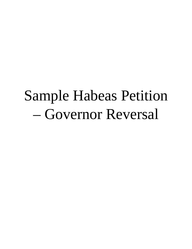# Sample Habeas Petition – Governor Reversal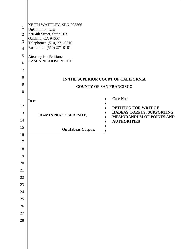| KEITH WATTLEY, SBN 203366<br>$\mathbf{1}$<br><b>UnCommon Law</b>                          |  |
|-------------------------------------------------------------------------------------------|--|
| 220 4th Street, Suite 103<br>$\overline{2}$                                               |  |
| Oakland, CA 94607<br>3<br>Telephone: (510) 271-0310                                       |  |
| Facsimile: (510) 271-0101<br>$\overline{4}$                                               |  |
| 5<br><b>Attorney for Petitioner</b>                                                       |  |
| RAMIN NIKOOSERESHT<br>6                                                                   |  |
| 7                                                                                         |  |
| 8<br>IN THE SUPERIOR COURT OF CALIFORNIA                                                  |  |
| 9<br><b>COUNTY OF SAN FRANCISCO</b>                                                       |  |
| 10                                                                                        |  |
| Case No.:<br>11<br>In re                                                                  |  |
| 12<br>PETITION FOR WRIT OF                                                                |  |
| HABEAS CORPUS; SUPPORTING<br>13<br>RAMIN NIKOOSERESHT,<br><b>MEMORANDUM OF POINTS AND</b> |  |
| 14<br><b>AUTHORITIES</b>                                                                  |  |
| 15<br>On Habeas Corpus.                                                                   |  |
| 16                                                                                        |  |
| 17                                                                                        |  |
| 18                                                                                        |  |
| 19<br>20                                                                                  |  |
| 21                                                                                        |  |
| 22                                                                                        |  |
| 23                                                                                        |  |
| 24                                                                                        |  |
| 25                                                                                        |  |
| $26\,$                                                                                    |  |
| 27                                                                                        |  |
| 28                                                                                        |  |
|                                                                                           |  |
|                                                                                           |  |

 $\overline{\phantom{a}}$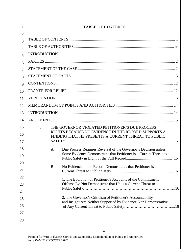| 1              | <b>TABLE OF CONTENTS</b>                                                               |  |
|----------------|----------------------------------------------------------------------------------------|--|
| $\overline{2}$ |                                                                                        |  |
| 3              |                                                                                        |  |
| $\overline{4}$ |                                                                                        |  |
| 5              |                                                                                        |  |
| 6              |                                                                                        |  |
| $\overline{7}$ |                                                                                        |  |
| 8              |                                                                                        |  |
| 9<br>10        |                                                                                        |  |
| 11             |                                                                                        |  |
| 12             |                                                                                        |  |
| 13             |                                                                                        |  |
| 14             |                                                                                        |  |
| 15             | THE GOVERNOR VIOLATED PETITIONER'S DUE PROCESS<br>$\mathbf{I}$ .                       |  |
| 16             | RIGHTS BECAUSE NO EVIDENCE IN THE RECORD SUPPORTS A                                    |  |
| 17             | FINDING THAT HE PRESENTS A CURRENT THREAT TO PUBLIC                                    |  |
| 18             | Due Process Requires Reversal of the Governor's Decision unless<br>A.                  |  |
| 19             | Some Evidence Demonstrates that Petitioner is a Current Threat to                      |  |
| 20             |                                                                                        |  |
| 21             | <b>B.</b><br>No Evidence in the Record Demonstrates that Petitioner Is a               |  |
| 22             | 1. The Evolution of Petitioner's Accounts of the Commitment                            |  |
| 23             | Offense Do Not Demonstrate that He is a Current Threat to                              |  |
| 24             |                                                                                        |  |
| 25             | 2. The Governor's Criticism of Petitioner's Accountability                             |  |
| 26             | and Insight Are Neither Supported by Evidence Nor Demonstrative                        |  |
| 27             |                                                                                        |  |
| 28             |                                                                                        |  |
|                | $\ddot{\mathbf{i}}$                                                                    |  |
|                | Petition for Writ of Habeas Corpus and Supporting Memorandum of Points and Authorities |  |
|                | In re RAMIN NIKOOSERESHT                                                               |  |

Ш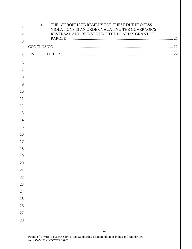| 1              | II. | THE APPROPRIATE REMEDY FOR THESE DUE PROCESS<br>VIOLATIONS IS AN ORDER VACATING THE GOVERNOR'S |  |
|----------------|-----|------------------------------------------------------------------------------------------------|--|
| $\overline{2}$ |     | REVERSAL AND REINSTATING THE BOARD'S GRANT OF                                                  |  |
| 3              |     |                                                                                                |  |
| $\overline{4}$ |     |                                                                                                |  |
|                |     |                                                                                                |  |
|                |     |                                                                                                |  |
|                |     |                                                                                                |  |
|                |     |                                                                                                |  |
|                |     |                                                                                                |  |
| 10             |     |                                                                                                |  |
|                |     |                                                                                                |  |
| 12             |     |                                                                                                |  |
| 13             |     |                                                                                                |  |
| 14             |     |                                                                                                |  |
| 15             |     |                                                                                                |  |
| 16             |     |                                                                                                |  |
| 17             |     |                                                                                                |  |
| 18             |     |                                                                                                |  |
| 19             |     |                                                                                                |  |
| 20<br>21       |     |                                                                                                |  |
| $22\,$         |     |                                                                                                |  |
| 23             |     |                                                                                                |  |
| 24             |     |                                                                                                |  |
| 25             |     |                                                                                                |  |
| 26             |     |                                                                                                |  |
| $27\,$         |     |                                                                                                |  |
| 28             |     |                                                                                                |  |
|                |     |                                                                                                |  |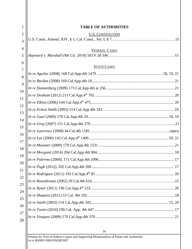| 1              | <b>TABLE OF AUTHORITIES</b> |
|----------------|-----------------------------|
| $\overline{2}$ | <b>U.S. CONSTITUTION</b>    |
| 3              |                             |
| 4              | <b>FEDERAL CASES</b>        |
| 5              |                             |
| 6              |                             |
| 7              | <b>STATE CASES</b>          |
| 8              |                             |
| 9              |                             |
| 10             |                             |
| 11             |                             |
| 12             |                             |
| 13             |                             |
| 14             |                             |
| 15             |                             |
| 16             |                             |
| 17             |                             |
| 18             |                             |
| 19             |                             |
| 20             |                             |
|                |                             |
| 21             |                             |
| 22             |                             |
| 23             |                             |
| 24             |                             |
| 25             |                             |
| 26             |                             |
| 27             |                             |
| 28             |                             |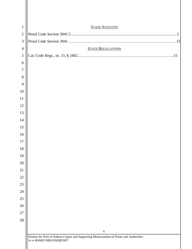| $\mathbf{1}$   | <b>STATE STATUTES</b>                                                                                              |
|----------------|--------------------------------------------------------------------------------------------------------------------|
| $\overline{2}$ |                                                                                                                    |
| 3              |                                                                                                                    |
| $\overline{4}$ | <b>STATE REGULATIONS</b>                                                                                           |
| $\sqrt{5}$     |                                                                                                                    |
| 6              |                                                                                                                    |
| $\overline{7}$ |                                                                                                                    |
| 8              |                                                                                                                    |
| 9              |                                                                                                                    |
| 10             |                                                                                                                    |
| 11             |                                                                                                                    |
| 12             |                                                                                                                    |
| 13             |                                                                                                                    |
| 14             |                                                                                                                    |
| 15             |                                                                                                                    |
| 16             |                                                                                                                    |
| $17\,$         |                                                                                                                    |
| 18             |                                                                                                                    |
| 19             |                                                                                                                    |
| 20             |                                                                                                                    |
| 21<br>22       |                                                                                                                    |
| 23             |                                                                                                                    |
| 24             |                                                                                                                    |
| 25             |                                                                                                                    |
| 26             |                                                                                                                    |
| $27\,$         |                                                                                                                    |
| 28             |                                                                                                                    |
|                |                                                                                                                    |
|                | $\mathbf{V}$                                                                                                       |
|                | Petition for Writ of Habeas Corpus and Supporting Memorandum of Points and Authorities<br>In re RAMIN NIKOOSERESHT |
|                |                                                                                                                    |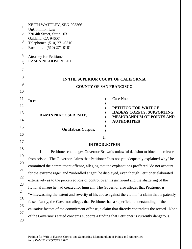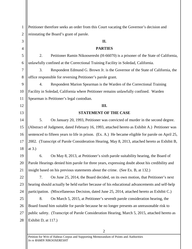2 1 2 3 4 5 6 7 8 9 10 11 12 13 14 15 16 17 18 19 20 21 22 23 24 25 26 27 28 Petitioner therefore seeks an order from this Court vacating the Governor's decision and reinstating the Board's grant of parole. **II. PARTIES** 2. Petitioner Ramin Nikooseresht (H-66070) is a prisoner of the State of California, unlawfully confined at the Correctional Training Facility in Soledad, California. 3. Respondent Edmund G. Brown Jr. is the Governor of the State of California, the office responsible for reversing Petitioner's parole grant. 4. Respondent Marion Spearman is the Warden of the Correctional Training Facility in Soledad, California where Petitioner remains unlawfully confined. Warden Spearman is Petitioner's legal custodian. **III. STATEMENT OF THE CASE** 5. On January 20, 1993, Petitioner was convicted of murder in the second degree. (Abstract of Judgment, dated February 16, 1993, attached hereto as Exhibit A.) Petitioner was sentenced to fifteen years to life in prison. (Ex. A.) He became eligible for parole on April 25, 2002. (Transcript of Parole Consideration Hearing, May 8, 2013, attached hereto as Exhibit B, at 3.) 6. On May 8, 2013, at Petitioner's sixth parole suitability hearing, the Board of Parole Hearings denied him parole for three years, expressing doubt about his credibility and insight based on his previous statements about the crime. (See Ex. B, at 132.) 7. On June 25, 2014, the Board decided, on its own motion, that Petitioner's next hearing should actually be held earlier because of his educational advancements and self-help participation. (Miscellaneous Decision, dated June 25, 2014, attached hereto as Exhibit C.) 8. On March 5, 2015, at Petitioner's seventh parole consideration hearing, the Board found him suitable for parole because he no longer presents an unreasonable risk to public safety. (Transcript of Parole Consideration Hearing, March 5, 2015, attached hereto as Exhibit D, at 117.)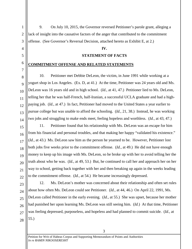9. On July 10, 2015, the Governor reversed Petitioner's parole grant, alleging a lack of insight into the causative factors of the anger that contributed to the commitment offense. (See Governor's Reversal Decision, attached hereto as Exhibit E, at 2.)

#### **IV.**

#### **STATEMENT OF FACTS**

# **COMMITMENT OFFENSE AND RELATED STATEMENTS**

10. Petitioner met Debbie DeLeon, the victim, in June 1991 while working at a yogurt shop in Los Angeles. (Ex. D, at 41.) At the time, Petitioner was 24 years old and Ms. DeLeon was 16 years old and in high school. (*Id.*, at 41, 47.) Petitioner lied to Ms. DeLeon, telling her that he was half-French, half-Iranian, a successful UCLA graduate and had a highpaying job. (*Id.*, at 47.) In fact, Petitioner had moved to the United States a year earlier to pursue college but was unable to afford the schooling. (*Id.,* 21, 38.) Instead, he was working two jobs and struggling to make ends meet, feeling hopeless and worthless. (*Id.*, at 43, 47.)

11. Petitioner found that his relationship with Ms. DeLeon was an escape for him from his financial and personal troubles, and that making her happy "validated his existence." (*Id.*, at 43.) Ms. DeLeon saw him as the person he yearned to be. However, Petitioner lost both jobs five weeks prior to the commitment offense. (*Id.*, at 49.) He did not have enough money to keep up his image with Ms. DeLeon, so he broke up with her to avoid telling her the truth about who he was. (*Id.*, at 49, 53.) But, he continued to call her and approach her on her way to school, getting back together with her and then breaking up again in the weeks leading to the commitment offense. (*Id.*, at 54.) He became increasingly depressed.

12. Ms. DeLeon's mother was concerned about their relationship and often set rules about how often Ms. DeLeon could see Petitioner. (*Id.*, at 44, 46.) On April 22, 1991, Ms. DeLeon called Petitioner in the early evening. (*Id.*, at 55.) She was upset, because her mother had punished her upon learning Ms. DeLeon was still seeing him. (*Id.*) At that time, Petitioner was feeling depressed, purposeless, and hopeless and had planned to commit suicide. (*Id.*, at 55.)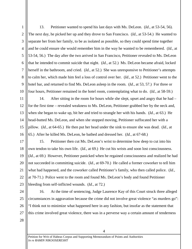1

13. Petitioner wanted to spend his last days with Ms. DeLeon. (*Id*., at 53-54, 56). The next day, he picked her up and they drove to San Francisco. (*Id.*, at 53-54.) He wanted to separate her from her family, to be as isolated as possible, so they could spend time together and he could ensure she would remember him in the way he wanted to be remembered. (*Id.*, at 53-54, 56.) The day after the two arrived in San Francisco, Petitioner revealed to Ms. DeLeon that he intended to commit suicide that night. (*Id.*, at 52.) Ms. DeLeon became afraid, locked herself in the bathroom, and cried. (*Id.*, at 52.) She was unresponsive to Petitioner's attempts to calm her, which made him feel a loss of control over her. (*Id.*, at 52.) Petitioner went to the hotel bar, and returned to find Ms. DeLeon asleep in the room. (*Id.*, at 53, 57.) For three or four hours, Petitioner remained in the hotel room, contemplating what to do. (*Id.*, at 58-59.)

14. After sitting in the room for hours while she slept, upset and angry that he had – for the first time – revealed weakness to Ms. DeLeon, Petitioner grabbed her by the neck and, when she began to wake up, bit her and tried to strangle her with his hands. (*Id.*, at 63.) He head-butted Ms. DeLeon, and when she stopped moving, Petitioner suffocated her with a pillow. (*Id.*, at 64-65.) He then put her head under the sink to ensure she was dead. (*Id.*, at 65.) After he killed Ms. DeLeon, he bathed and dressed her. (*Id.*, at 67-68.)

15. Petitioner then cut Ms. DeLeon's wrist to determine how deep to cut into his own tendon to take his own life. (*Id.*, at 69.) He cut his wrists and soon lost consciousness. (*Id.*, at 69.) However, Petitioner panicked when he regained consciousness and realized he had not succeeded in committing suicide. (*Id.*, at 69-70.) He called a former coworker to tell him what had happened, and the coworker called Petitioner's family, who then called police. (*Id.*, at 70-71.) Police went to the room and found Ms. DeLeon's body and found Petitioner bleeding from self-inflicted wounds. (*Id.*, at 72.)

16. At the time of sentencing, Judge Laurence Kay of this Court struck three alleged circumstances in aggravation because the crime did not involve great violence "as murders go": "I think not to minimize what happened here in any fashion, but insofar as the statement that this crime involved great violence, there was in a perverse way a certain amount of tenderness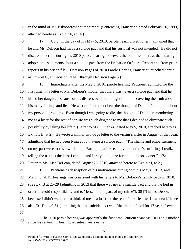in the mind of Mr. Nikooseresht at the time." (Sentencing Transcript, dated February 10, 1993, attached hereto as Exhibit F, at 14.)

2 3

4

5

6

7

8

11

21

22

23

24

25

26

27

28

1

17. Up until the day of his May 5, 2010, parole hearing, Petitioner maintained that he and Ms. DeLeon had made a suicide pact and that his survival was not intended. He did not discuss the crime during his 2010 parole hearing; however, the commissioners at that hearing adopted his statements about a suicide pact from the Probation Officer's Report and from prior reports in his prison file. (Decision Pages of 2010 Parole Hearing Transcript, attached hereto as Exhibit G, at Decision Page 1 through Decision Page 5.)

9 10 12 13 14 15 16 17 18 19 20 18. Immediately after his May 5, 2010, parole hearing, Petitioner admitted for the first time, in a letter to Ms. DeLeon's mother that there was never a suicide pact and that he killed her daughter because of his distress over the thought of her discovering the truth about his many failings and lies. He wrote, "I could not bear the thought of Debbie finding out about my personal problems. Even though I was going to die, the thought of Debbie remembering me as a loser for the rest of her life was such disgrace to me that I decided to eliminate such possibility by taking her life." (Letter to Ms. Gutierrez, dated May 5, 2010, attached hereto as Exhibit H, at 2.) He wrote a similar two-page letter to the victim's sister in August of that year, admitting that he had been lying about having a suicide pact: "The shame and embarrassment on my part were too overwhelming. But again, after seeing your mother's suffering, I realize telling the truth is the least I can do, and I truly apologize for not doing so sooner."<sup>1</sup> (See Letter to Ms. Lisa DeLeon, dated August 26, 2010, attached hereto as Exhibit I, at 2.)

19. Petitioner's description of his motivations during both his May 8, 2013, and March 5, 2015, hearings was consistent with his letters to Ms. DeLeon's family back in 2010. (See Ex. B at 25-29 [admitting in 2013 that there was never a suicide pact and that he lied in order to avoid responsibility and to "lessen the impact of my crime"], 30 ["I killed Debbie because I didn't want her to think of me as a loser for the rest of her life after I was dead."]; see also Ex. D at 49-51 [admitting that the suicide pact was "the lie that I told for 17 years," even

 $1$  The 2010 parole hearing was apparently the first time Petitioner saw Ms. DeLeon's mother since his sentencing hearing seventeen years earlier.

l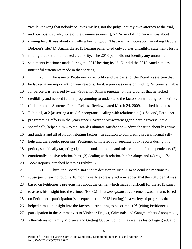1 2 3 4 5 6 7 "while knowing that nobody believes my lies, not the judge, not my own attorney at the trial, and obviously, surely, none of the Commissioners."], 62 [So my killing her – it was about owning her. It was about controlling her for good. That was my motivation for taking Debbie DeLeon's life."].) Again, the 2013 hearing panel cited only *earlier* untruthful statements for its finding that Petitioner lacked credibility. The 2013 panel did not identify any untruthful statements Petitioner made during the 2013 hearing itself. Nor did the 2015 panel cite any untruthful statements made in that hearing.

8 9 10 11 12 13 14 15 16 17 18 19 20 20. The issue of Petitioner's credibility and the basis for the Board's assertion that he lacked it are important for four reasons. First, a previous decision finding Petitioner suitable for parole was reversed by then-Governor Schwarzenegger on the grounds that he lacked credibility and needed further programming to understand the factors contributing to his crime. (Indeterminate Sentence Parole Release Review, dated March 24, 2009, attached hereto as Exhibit J, at 2 [asserting a need for programs dealing with relationships].) Second, Petitioner's programming efforts in the years since Governor Schwarzenegger's parole reversal have specifically helped him – to the Board's ultimate satisfaction – admit the truth about his crime and understand all of its contributing factors. In addition to completing several formal selfhelp and therapeutic programs, Petitioner completed four separate book reports during this period, specifically targeting (1) the misunderstanding and mistreatment of co-dependence, (2) emotionally abusive relationships, (3) dealing with relationship breakups and (4) rage. (See Book Reports, attached hereto as Exhibit K.)

21 22 23 24 25 26 27 28 21. Third, the Board's *sua sponte* decision in June 2014 to conduct Petitioner's subsequent hearing roughly 18 months early expressly acknowledged that the 2013 denial was based on Petitioner's previous lies about the crime, which made it difficult for the 2013 panel to assess his insight into the crime. (Ex. C.) That *sua sponte* advancement was, in turn, based on Petitioner's participation (subsequent to the 2013 hearing) in a variety of programs that helped him gain insight into the factors contributing to his crime. (*Id*. [citing Petitioner's participation in the Alternatives to Violence Project, Criminals and Gangmembers Anonymous, Alternatives to Family Violence and Getting Out by Going In, as well as his college graduation

6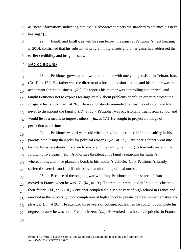as "new information" indicating that "Mr. Nikooseresht meets the standard to advance his next hearing."].)

22. Fourth and finally, as will be seen below, the panel at Petitioner's next hearing, in 2014, confirmed that his substantial programming efforts and other gains had addressed the earlier credibility and insight issues.

# **BACKGROUND**

23. Petitioner grew up in a two-parent home with one younger sister in Tehran, Iran. (Ex. D, at 17.) His father was the director of a local television station, and his mother was the accountant for that business. (*Id*.) He reports his mother was controlling and critical, and taught Petitioner not to express feelings or talk about problems openly in order to protect the image of his family. (*Id.*, at 26.) He was constantly reminded he was the only son, and told never to disappoint the family. (*Id.*, at 35.) Petitioner was occasionally truant from school and would lie as a means to impress others. (*Id.*, at 17.) He sought to project an image of perfection at all times.

24. Petitioner was 14 years old when a revolution erupted in Iran, resulting in his parents both losing their jobs for political reasons. (*Id.*, at 17.) Petitioner's father went into hiding, his whereabouts unknown to anyone in the family, returning to Iran only once in the following five years. (*Id.*) Authorities threatened his family regarding his father's whereabouts, and once planted a bomb in his mother's vehicle. (*Id.*) Petitioner's family suffered severe financial difficulties as a result of the political unrest.

25. Because of the ongoing war with Iraq, Petitioner and his sister left Iran and moved to France when he was 17. (*Id.*, at 19.) Their mother remained in Iran to be closer to their father. (*Id.*, at 17-18.) Petitioner completed his senior year of high school in France and enrolled in the university upon completion of high school to pursue degrees in mathematics and physics. (*Id.*, at 20.) He attended three years of college, but learned he could not complete his degree because he was not a French citizen. (*Id.*) He worked as a hotel receptionist in France

1

2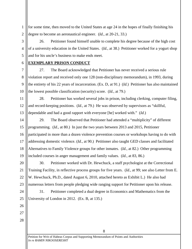for some time, then moved to the United States at age 24 in the hopes of finally finishing his degree to become an aeronautical engineer. (*Id.*, at 20-21, 33.)

26. Petitioner found himself unable to complete his degree because of the high cost of a university education in the United States. (*Id.*, at 38.) Petitioner worked for a yogurt shop and for his uncle's business to make ends meet.

# **EXEMPLARY PRISON CONDUCT**

27. The Board acknowledged that Petitioner has never received a serious rule violation report and received only one 128 (non-disciplinary memorandum), in 1993, during the entirety of his 22 years of incarceration. (Ex. D, at 91.) (*Id.*) Petitioner has also maintained the lowest possible classification (security) score. (*Id.*, at 79.)

28. Petitioner has worked several jobs in prison, including clerking, computer filing, and record-keeping positions. (*Id.*, at 79.) He was observed by supervisors as "skillful, dependable and had a good rapport with everyone [he] worked with." (*Id.*)

29. The Board observed that Petitioner had attended a "multiplicity" of different programming. (*Id.*, at 80.) In just the two years between 2013 and 2015, Petitioner participated in more than a dozen violence prevention courses or workshops having to do with addressing domestic violence. (*Id.*, at 90.) Petitioner also taught GED classes and facilitated Alternatives to Family Violence groups for other inmates. (*Id.*, at 82.) Other programming included courses in anger management and family values. (*Id.*, at 83, 86.)

30. Petitioner worked with Dr. Hewchuck, a staff psychologist at the Correctional Training Facility, in reflective process groups for five years. (*Id.*, at 99; see also Letter from E. W. Hewchuck, Ph.D., dated August 6, 2010, attached hereto as Exhibit L.) He also had numerous letters from people pledging wide ranging support for Petitioner upon his release.

31. Petitioner completed a dual degree in Economics and Mathematics from the University of London in 2012. (Ex. B, at 135.)

8

1

2

3

4

5

6

7

8

9

10

11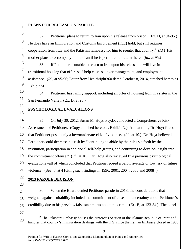## **PLANS FOR RELEASE ON PAROLE**

32. Petitioner plans to return to Iran upon his release from prison. (Ex. D, at 94-95.) He does have an Immigration and Customs Enforcement (ICE) hold, but still requires cooperation from ICE and the Pakistani Embassy for him to reenter that country.<sup>2</sup> (*Id.*) His mother plans to accompany him to Iran if he is permitted to return there. (*Id.*, at 95.)

33. If Petitioner is unable to return to Iran upon his release, he will live in transitional housing that offers self-help classes, anger management, and employment assistance. (*Id.*, at 95-96; Letter from Healthright360 dated October 8, 2014, attached hereto as Exhibit M.)

34. Petitioner has family support, including an offer of housing from his sister in the San Fernando Valley. (Ex. D, at 96.)

#### **PSYCHOLOGICAL EVALUATIONS**

35. On July 30, 2012, Susan M. Hoyt, Psy.D. conducted a Comprehensive Risk Assessment of Petitioner. (Copy attached hereto as Exhibit N.) At that time, Dr. Hoyt found that Petitioner posed only a **low/moderate risk** of violence. (*Id.*, at 10.) Dr. Hoyt believed Petitioner could decrease his risk by "continuing to abide by the rules set forth by the institution, participation in additional self-help groups, and continuing to develop insight into the commitment offense." (*Id.*, at 10.) Dr. Hoyt also reviewed five previous psychological evaluations –all of which concluded that Petitioner posed a below average or low risk of future violence. (See *id*. at 4 [citing such findings in 1996, 2001, 2004, 2006 and 2008].)

# **2013 PAROLE DECISION**

l

36. When the Board denied Petitioner parole in 2013, the considerations that weighed against suitability included the commitment offense and uncertainty about Petitioner's credibility due to his *previous* false statements about the crime. (Ex. B, at 133-34.) The panel

<sup>&</sup>lt;sup>2</sup> The Pakistani Embassy houses the "Interests Section of the Islamic Republic of Iran" and handles that country's immigration dealings with the U.S. since the Iranian Embassy closed in 1980.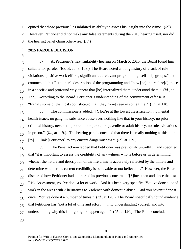opined that those previous lies inhibited its ability to assess his insight into the crime. (*Id*.) However, Petitioner did not make any false statements during the 2013 hearing itself, nor did the hearing panel claim otherwise. (*Id*.)

**2015 PAROLE DECISION**

1

2

3

4

5

6

7

8

 $\overline{Q}$ 

10

11

12

13

14

15

16

17

18

19

20

21

22

23

24

25

26

27

37. At Petitioner's next suitability hearing on March 5, 2015, the Board found him suitable for parole. (Ex. B, at 48, 103.) The Board noted a "long history of a lack of rule violations, positive work efforts, significant . . . relevant programming, self-help groups," and commented that Petitioner's description of the programming and "how [he] internalize[d] those in a specific and profound way appear that [he] internalized them, understood them." (*Id.*, at 122.) According to the Board, Petitioner's understanding of the commitment offense is "frankly some of the most sophisticated that [they have] seen in some time." (*Id.*, at 118.)

38. The commissioners added, "[Y]ou're at the lowest classification, no mental health issues, no gang, no substance abuse ever, nothing like that in your history, no prior criminal history, never had probation or parole, no juvenile or adult history, no rules violations in prison." (*Id.*, at 119.). The hearing panel conceded that there is "really nothing at this point [to] . . . link [Petitioner] to any current dangerousness." (*Id.*, at 119.)

39. The Panel acknowledged that Petitioner was previously untruthful, and specified that "it is important to assess the credibility of any witness who is before us in determining whether the nature and description of the life crime is accurately reflected by the inmate and determine whether his current credibility is believable or not believable." However, the Board discussed how Petitioner had addressed its previous concerns: "[S]ince then and since the last Risk Assessment, you've done a lot of work. And it's been very specific. You've done a lot of work in the areas with Alternatives to Violence with domestic abuse. And you haven't done it once. You've done it a number of times." (*Id.*, at 120.) The Board specifically found evidence that Petitioner has "put a lot of time and effort . . . into understanding yourself and into understanding why this isn't going to happen again." (*Id.*, at 120.) The Panel concluded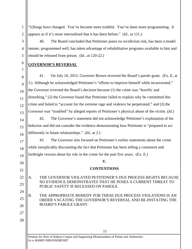"[t]hings have changed. You've become more truthful. You've done more programming. It appears as if it's more internalized that it has been before." (*Id.*, at 121.)

40. The Board concluded that Petitioner poses no recidivism risk, has been a model inmate, programmed well, has taken advantage of rehabilitative programs available to him and should be released from prison. (*Id.*, at 120-22.)

# **GOVERNOR'S REVERSAL**

41. On July 10, 2015, Governor Brown reversed the Board's parole grant. (Ex. E, at 3.) Although he acknowledged Petitioner's "efforts to improve himself while incarcerated," the Governor reversed the Board's decision because (1) the crime was "horrific and disturbing," (2) the Governor found that Petitioner failed to explain why he committed this crime and failed to "account for the extreme rage and violence he perpetrated," and (3) the Governor was "troubled" by alleged reports of Petitioner's physical abuse of the victim. (*Id*.)

42. The Governor's statement did not acknowledge Petitioner's explanation of his behavior and did not consider the evidence demonstrating how Petitioner is "prepared to act differently in future relationships." (*Id.*, at 2.)

43. The Governor also focused on Petitioner's earlier statements about the crime while inexplicably discounting the fact that Petitioner has been telling a consistent and forthright version about his role in the crime for the past five years. (Ex. E.)

# **V.**

# **CONTENTIONS**

A. THE GOVERNOR VIOLATED PETITIONER'S DUE PROCESS RIGHTS BECAUSE NO EVIDENCE DEMONSTRATES THAT HE POSES A CURRENT THREAT TO PUBLIC SAFETY IF RELEASED ON PAROLE.

B. THE APPROPRIATE REMEDY FOR THESE DUE PROCESS VIOLATIONS IS AN ORDER VACATING THE GOVERNOR'S REVERSAL AND RE-INSTATING THE BOARD'S PAROLE GRANT.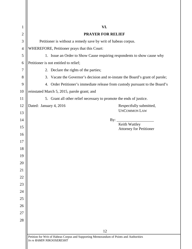| 1              | VI.                                                                 |                                                                               |  |
|----------------|---------------------------------------------------------------------|-------------------------------------------------------------------------------|--|
| $\overline{2}$ | <b>PRAYER FOR RELIEF</b>                                            |                                                                               |  |
| 3              | Petitioner is without a remedy save by writ of habeas corpus.       |                                                                               |  |
| $\overline{4}$ | WHEREFORE, Petitioner prays that this Court:                        |                                                                               |  |
| 5              |                                                                     | 1. Issue an Order to Show Cause requiring respondents to show cause why       |  |
| 6              | Petitioner is not entitled to relief;                               |                                                                               |  |
| 7              | 2. Declare the rights of the parties;                               |                                                                               |  |
| 8              |                                                                     | 3. Vacate the Governor's decision and re-instate the Board's grant of parole; |  |
| 9              |                                                                     | 4. Order Petitioner's immediate release from custody pursuant to the Board's  |  |
| 10             | reinstated March 5, 2015, parole grant; and                         |                                                                               |  |
| 11             | 5. Grant all other relief necessary to promote the ends of justice. |                                                                               |  |
| 12             | Dated: January 4, 2016                                              | Respectfully submitted,                                                       |  |
| 13             |                                                                     | <b>UNCOMMON LAW</b>                                                           |  |
| 14             |                                                                     | By:                                                                           |  |
| 15             |                                                                     | Keith Wattley<br><b>Attorney for Petitioner</b>                               |  |
| 16             |                                                                     |                                                                               |  |
| 17             |                                                                     |                                                                               |  |
| 18             |                                                                     |                                                                               |  |
| 19             |                                                                     |                                                                               |  |
| 20             |                                                                     |                                                                               |  |
| 21             |                                                                     |                                                                               |  |
| 22             |                                                                     |                                                                               |  |
| 23             |                                                                     |                                                                               |  |
| 24             |                                                                     |                                                                               |  |
| 25             |                                                                     |                                                                               |  |
| 26             |                                                                     |                                                                               |  |
| 27             |                                                                     |                                                                               |  |
| 28             |                                                                     |                                                                               |  |
|                |                                                                     | 12                                                                            |  |

 $\mathsf{I}$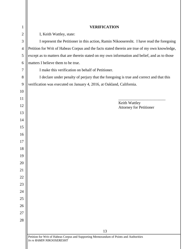| $\mathbf{1}$   | <b>VERIFICATION</b>                                                                            |  |  |
|----------------|------------------------------------------------------------------------------------------------|--|--|
| $\mathbf{2}$   | I, Keith Wattley, state:                                                                       |  |  |
| 3              | I represent the Petitioner in this action, Ramin Nikooseresht. I have read the foregoing       |  |  |
| $\overline{4}$ | Petition for Writ of Habeas Corpus and the facts stated therein are true of my own knowledge,  |  |  |
| 5              | except as to matters that are therein stated on my own information and belief, and as to those |  |  |
| 6              | matters I believe them to be true.                                                             |  |  |
| 7              | I make this verification on behalf of Petitioner.                                              |  |  |
| 8              | I declare under penalty of perjury that the foregoing is true and correct and that this        |  |  |
| 9              | verification was executed on January 4, 2016, at Oakland, California.                          |  |  |
| 10             |                                                                                                |  |  |
| 11             | Keith Wattley                                                                                  |  |  |
| 12             | <b>Attorney for Petitioner</b>                                                                 |  |  |
| 13             |                                                                                                |  |  |
| 14             |                                                                                                |  |  |
| 15             |                                                                                                |  |  |
| 16             |                                                                                                |  |  |
| 17             |                                                                                                |  |  |
| 18             |                                                                                                |  |  |
| 19             |                                                                                                |  |  |
| 20             |                                                                                                |  |  |
| 21             |                                                                                                |  |  |
| 22             |                                                                                                |  |  |
| 23             |                                                                                                |  |  |
| 24             |                                                                                                |  |  |
| 25             |                                                                                                |  |  |
| 26             |                                                                                                |  |  |
| 27             |                                                                                                |  |  |
| 28             |                                                                                                |  |  |
|                | 13                                                                                             |  |  |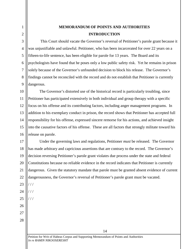# **MEMORANDUM OF POINTS AND AUTHORITIES INTRODUCTION**

This Court should vacate the Governor's reversal of Petitioner's parole grant because it was unjustifiable and unlawful. Petitioner, who has been incarcerated for over 22 years on a fifteen-to-life sentence, has been eligible for parole for 13 years. The Board and its psychologists have found that he poses only a low public safety risk. Yet he remains in prison solely because of the Governor's unfounded decision to block his release. The Governor's findings cannot be reconciled with the record and do not establish that Petitioner is currently dangerous.

10 11 12 13 14 15 16 The Governor's distorted use of the historical record is particularly troubling, since Petitioner has participated extensively in both individual and group therapy with a specific focus on his offense and its contributing factors, including anger management programs. In addition to his exemplary conduct in prison, the record shows that Petitioner has accepted full responsibility for his offense, expressed sincere remorse for his actions, and achieved insight into the causative factors of his offense. These are all factors that strongly militate toward his release on parole.

17 18 19 20 21 22 Under the governing laws and regulations, Petitioner *must* be released. The Governor has made arbitrary and capricious assertions that are contrary to the record. The Governor's decision reversing Petitioner's parole grant violates due process under the state and federal Constitutions because no reliable evidence in the record indicates that Petitioner is currently dangerous. Given the statutory mandate that parole must be granted absent evidence of current dangerousness, the Governor's reversal of Petitioner's parole grant must be vacated.

24 25 / / /

/ / /

 $/ /$ 

26

27

28

23

1

2

3

4

5

6

7

8

9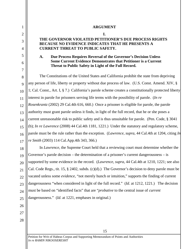# **ARGUMENT**

#### **I.**

# **THE GOVERNOR VIOLATED PETITIONER'S DUE PROCESS RIGHTS BECAUSE NO EVIDENCE INDICATES THAT HE PRESENTS A CURRENT THREAT TO PUBLIC SAFETY.**

# **A. Due Process Requires Reversal of the Governor's Decision Unless Some Current Evidence Demonstrates that Petitioner is a Current Threat to Public Safety in Light of the Full Record.**

The Constitutions of the United States and California prohibit the state from depriving any person of life, liberty or property without due process of law. (U.S. Const. Amend. XIV, § 1; Cal. Const., Art. I, § 7.) California's parole scheme creates a constitutionally protected liberty interest in parole for prisoners serving life terms with the possibility of parole. (*In re Rosenkrantz* (2002) 29 Cal.4th 616, 660.) Once a prisoner is eligible for parole, the parole authority must grant parole unless it finds, in light of the full record, that he or she poses a current unreasonable risk to public safety and is thus unsuitable for parole. (Pen. Code, § 3041 (b); *In re Lawrence* (2008) 44 Cal.4th 1181, 1221.) Under the statutory and regulatory scheme, parole must be the rule rather than the exception. (*Lawrence*, *supra*, 44 Cal.4th at 1204, citing *In re Smith* (2003) 114 Cal.App.4th 343, 366.)

18 19 20 21 22 23 24 25 In *Lawrence*, the Supreme Court held that a reviewing court must determine whether the Governor's parole decision – the determination of a prisoner's current dangerousness – is supported by some evidence in the record. (*Lawrence*, *supra*, 44 Cal.4th at 1210, 1221; see also Cal. Code Regs., tit. 15, § 2402, subds. (c)(d).) The Governor's decision to deny parole must be vacated unless some *evidence*, "not merely hunch or intuition," supports the finding of current dangerousness "when considered in light of the full record." (*Id*. at 1212, 1221.) The decision must be based on "identified facts" that are "*probative* to the central issue of *current* dangerousness." (*Id*. at 1221, emphases in original.)

26 27 28

1

2

3

4

5

6

7

8

9

10

11

12

13

14

15

16

17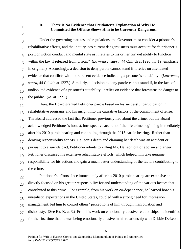1

2

3

4

5

6

7

8

 $\mathbf Q$ 

10

11

12

14

15

16

17

18

19

20

21

# **B. There is No Evidence that Petitioner's Explanation of Why He Committed the Offense Shows Him to be Currently Dangerous.**

Under the governing statutes and regulations, the Governor must consider a prisoner's rehabilitative efforts, and the inquiry into current dangerousness must account for "a prisoner's postconviction conduct and mental state as it relates to his or her *current* ability to function within the law if released from prison." (*Lawrence*, *supra*, 44 Cal.4th at 1220, fn. 19, emphasis in original.) Accordingly, a decision to deny parole cannot stand if it relies on attenuated evidence that conflicts with more recent evidence indicating a prisoner's suitability. (*Lawrence*, *supra*, 44 Cal.4th at 1227.) Similarly, a decision to deny parole cannot stand if, in the face of undisputed evidence of a prisoner's suitability, it relies on evidence that forewarns no danger to the public. (*Id*. at 1221.)

13 Here, the Board granted Petitioner parole based on his successful participation in rehabilitative programs and his insight into the causative factors of the commitment offense. The Board addressed the fact that Petitioner previously lied about the crime, but the Board acknowledged Petitioner's honest, introspective account of the life crime beginning immediately after his 2010 parole hearing and continuing through the 2015 parole hearing. Rather than denying responsibility for Ms. DeLeon's death and claiming her death was an accident or pursuant to a suicide pact, Petitioner admits to killing Ms. DeLeon out of egoism and anger. Petitioner discussed his extensive rehabilitative efforts, which helped him take genuine responsibility for his actions and gain a much better understanding of the factors contributing to the crime.

22 23 24 25 26 27 28 Petitioner's efforts since immediately after his 2010 parole hearing are extensive and directly focused on his greater responsibility for and understanding of the various factors that contributed to this crime. For example, from his work on co-dependence, he learned how his unrealistic expectations in the United States, coupled with a strong need for impression management, led him to control others' perceptions of him through manipulation and dishonesty. (See Ex. K, at 3.) From his work on emotionally abusive relationships, he identified for the first time that he was being emotionally abusive in his relationship with Debbie DeLeon.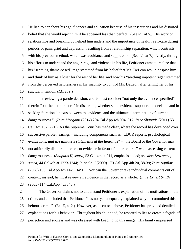1 2 3 4 5 6 7 8 9 10 He lied to her about his age, finances and education because of his insecurities and his distorted belief that she would reject him if he appeared less than perfect. (See *id*., at 5.) His work on relationships and breaking up helped him understand the importance of healthy self-care during periods of pain, grief and depression resulting from a relationship separation, which contrasts with his previous method, which was avoidance and suppression. (See *id*., at 7.) Lastly, through his efforts to understand the anger, rage and violence in his life, Petitioner came to realize that his "seething shame-based" rage stemmed from his belief that Ms. DeLeon would despise him and think of him as a loser for the rest of her life, and how his "seething impotent rage" stemmed from the perceived helplessness in his inability to control Ms. DeLeon after telling her of his suicidal intention. (*Id*., at 9.)

11 12 13 14 15 16 17 18 19 20 21 22 23 In reviewing a parole decision, courts must consider "not only the evidence specified" therein "but the entire record" in discerning whether some evidence supports the decision and in seeking "a rational nexus between the evidence and the ultimate determination of current dangerousness." (*In re Morganti* (2014) 204 Cal.App.4th 904, 917; *In re Shaputis* (2011) 53 Cal. 4th 192, 221.) As the Supreme Court has made clear, where the record has developed over successive parole hearings – including components such as "CDCR reports, psychological evaluations, *and the inmate's statements at the hearings*" – "the Board or the Governor may not arbitrarily dismiss more recent evidence in favor of older records" when assessing current dangerousness. (*Shaputis II*, *supra*, 53 Cal.4th at 211, emphasis added; *see also Lawrence*, *supra*, 44 Cal.4th at 1223-1244; *In re Gaul* (2009) 170 Cal.App.4th 20, 38-39; *In re Aguilar* (2008) 168 Cal.App.4th 1479, 1490.) Nor can the Governor take individual comments out of context; instead, he must review all evidence in the record as a whole. (*In re Ernest Smith* (2003) 114 Cal.App.4th 343.)

24 25 26 27 28 The Governor claims not to understand Petitioner's explanation of his motivations in the crime, and concluded that Petitioner "has not yet adequately explained why he committed this heinous crime." (Ex. E, at 2.) However, as discussed above, Petitioner has provided detailed explanations for his behavior. Throughout his childhood, he resorted to lies to create a façade of perfection and success and was obsessed with keeping up this image. His family impressed

17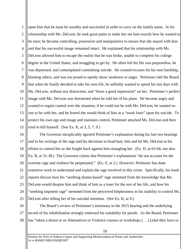1 2 3 4 5 6 7 8 9 10 11 12 13 14 15 upon him that he must be wealthy and successful in order to carry on the family name. In his relationship with Ms. DeLeon, he took great pains to make her see him exactly how he wanted to be seen; he became controlling, possessive and manipulative to ensure that she stayed with him and that his successful image remained intact. He explained that his relationship with Ms. DeLeon allowed him to escape the reality that he was broke, unable to complete his college degree in the United States, and struggling to get by. He often felt his life was purposeless, he was depressed, and contemplated committing suicide. He created excuses for his own hardship, blaming others, and was too proud to openly show weakness or anger. Petitioner told the Board that when he finally decided to take his own life, he selfishly wanted to spend his last days with Ms. DeLeon, without any distraction, and "leave a good impression" on her. Petitioner's perfect image with Ms. DeLeon was threatened when he told her of his plans. He became angry and wanted to regain control over the situation; if he could not be with Ms. DeLeon, he wanted *no one* to be with her, and he feared she would think of him as a "weak loser" upon his suicide. To protect his own ego and image and maintain control, Petitioner attacked Ms. DeLeon and then tried to kill himself. (See Ex. K, at 3, 5, 7, 9.)

16 17 18 19 20 21 22 23 24 25 The Governor inexplicably ignored Petitioner's explanation during his last two hearings and in his writings of the rage and his decisions to head-butt, bite and hit Ms. DeLeon in his efforts to control her as she fought back against him strangling her. (Ex. D, at 63-66; see also Ex. B, at 31-38.) The Governor claims that Petitioner's explanations "do not account for the extreme rage and violence he perpetrated." (Ex. E, at 2.) However, Petitioner has done extensive work to understand and explain the rage involved in this crime. Specifically, his book reports discuss how his "seething shame-based" rage stemmed from the knowledge that Ms. DeLeon would despise him and think of him as a loser for the rest of her life, and how his "seething impotent rage" stemmed from the perceived helplessness in his inability to control Ms. DeLeon after telling her of his suicidal intention. (See Ex. K, at 9.)

26 27 28 The Board's review of Petitioner's testimony in the 2015 hearing and the underlying record of his rehabilitation strongly endorsed his suitability for parole. As the Board, Petitioner has "taken a dozen or so Alternatives to Violence courses or workshops [. . .] [a]nd they have to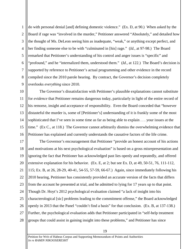1 2 3 4 5 6 7 8 9 do with personal denial [and] defining domestic violence." (Ex. D, at 90.) When asked by the Board if rage was "involved in the murder," Petitioner answered "Absolutely," and detailed how the thought of Ms. DeLeon seeing him as inadequate, "weak," or anything except perfect, and her finding someone else to be with "culminated in [his] rage." (*Id.*, at 97-98.) The Board remarked that Petitioner's understanding of his control and anger issues is "specific" and "profound," and he "internalized them, understood them." (*Id.*, at 122.) The Board's decision is supported by reference to Petitioner's actual programming and other evidence in the record compiled since the 2010 parole hearing. By contract, the Governor's decision completely overlooks *everything* since 2010.

10 12 13 14 15 16 The Governor's dissatisfaction with Petitioner's plausible explanations cannot substitute for *evidence* that Petitioner remains dangerous today, particularly in light of the entire record of his remorse, insight and acceptance of responsibility. Even the Board conceded that "however distasteful the murder is, some of [Petitioner's] understanding of it is frankly some of the most sophisticated that I've seen in some time as far as being able to explain . . . your issues at the time." (Ex C., at 118.) The Governor cannot arbitrarily dismiss the overwhelming evidence that Petitioner has explained and currently understands the causative factors of the life crime.

11

17 18 19 20 21 22 23 24 25 26 27 28 The Governor's encouragement that Petitioner "provide an honest account of his actions and motivations at his next psychological evaluation" is based on a gross misrepresentation and ignoring the fact that Petitioner has acknowledged past lies openly and repeatedly, and offered extensive explanation for his behavior. (Ex. E, at 2; but see Ex. D, at 49, 50-51, 76, 111-112, 115; Ex. B, at 26, 28-29, 40-41, 54-55, 57-59, 66-67.) Again, since immediately following his 2010 hearing, Petitioner has consistently provided an accurate version of the facts that differs from the account he presented at trial, and he admitted to lying for 17 years up to that point. Though Dr. Hoyt's 2012 psychological evaluation claimed "a lack of insight into his characterological [sic] problems leading to the commitment offense," the Board acknowledged openly in 2013 that the Panel "couldn't find a basis" for that conclusion. (Ex. B, at 137-138.) Further, the psychological evaluation adds that Petitioner participated in "self-help treatment groups that could assist in gaining insight into these problems," and Petitioner has since

19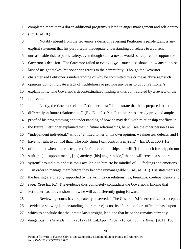completed more than a dozen additional programs related to anger management and self-control. (Ex. E, at 10.)

Notably absent from the Governor's decision reversing Petitioner's parole grant is any explicit statement that his purportedly inadequate understanding correlates to a current unreasonable risk to public safety, even though such a nexus would be required to support the Governor's decision. The Governor failed to even *allege*—much less show—how any supposed lack of insight makes Petitioner dangerous to the community. Though the Governor characterized Petitioner's understanding of why he committed this crime as "bizarre," such opinions do not indicate a lack of truthfulness or provide any basis to doubt Petitioner's explanations. The Governor's decontextualized finding is thus contradicted by a review of the full record.

Lastly, the Governor claims Petitioner must "demonstrate that he is prepared to act differently in future relationships." (Ex. E, at 2.) Yet, Petitioner has already provided ample proof of his programming and understanding of how he may deal with relationship conflicts in the future. Petitioner explained that in future relationships, he will see the other person as an "independent individual," who is "entitled to her or his own opinion, weaknesses, defects, and I have no right to control that. The only thing I can control is myself." (Ex. D, at 100.) He offered that when anger is triggered in future relationships, he will "[t]alk, reach for help, do not stuff [his] disappointments, [his] anxiety, [his] anger inside," that he will "create a support system" around him and use tools available to him "to be mindful of ... feelings and emotions. . . in order to manage them before they become unmanageable." (*Id.*, at 101.) His statements at the hearing are directly supported by his writings on relationships, breakups, co-dependency and rage. (See Ex. K.) The evidence thus completely contradicts the Governor's finding that Petitioner has not yet shown how he will act differently going forward.

27 28 Reviewing courts have repeatedly observed, "[The Governor's] 'mere refusal to accept . . . evidence showing [understanding and remorse] is not itself a rational or sufficient basis upon which to conclude that the inmate lacks insight, let alone that he or she remains currently dangerous."" (*In re Denham* (2012) 211 Cal.App.4<sup>th</sup> 702, 716, citing *In re Ryner* (2011) 196

1

2

3

4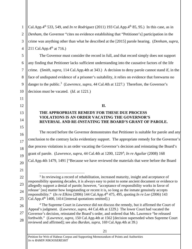Cal.App.4<sup>th</sup> 533, 549, and *In re Rodriguez* (2011) 193 Cal.App.4<sup>th</sup> 85, 95.) In this case, as in *Denham*, the Governor "cites no evidence establishing that "Petitioner's] participation in the crime was anything other than what he described at the [2015] parole hearing. (*Denham*, *supra*, 211 Cal.App. $4^{th}$  at 716.)

The Governor must consider the record in full, and that record simply does not support any finding that Petitioner lacks sufficient understanding into the causative factors of the life crime. (*Smith*, *supra*, 114 Cal.App.4th at 343.) A decision to deny parole cannot stand if, in the face of undisputed evidence of a prisoner's suitability, it relies on evidence that forewarns no danger to the public.<sup>3</sup> (*Lawrence*, *supra*, 44 Cal.4th at 1227.) Therefore, the Governor's decision must be vacated. (*Id*. at 1221.)

# **II.**

# **THE APPROPRIATE REMEDY FOR THESE DUE PROCESS VIOLATIONS IS AN ORDER VACATING THE GOVERNOR'S REVERSAL AND RE-INSTATING THE BOARD'S GRANT OF PAROLE.**

The record before the Governor demonstrates that Petitioner is suitable for parole and any conclusion to the contrary lacks evidentiary support. The appropriate remedy for the Governor's due process violations is an order vacating the Governor's decision and reinstating the Board's grant of parole. (*Lawrence*, *supra*, 44 Cal.4th at 1200, 1229<sup>4</sup>; *In re Aguilar* (2008) 168 Cal.App.4th 1479, 1491 ["Because we have reviewed the materials that were before the Board

27 <sup>4</sup> The Supreme Court in *Lawrence* did not discuss the remedy, but it affirmed the Court of Appeal's judgment. (*Lawrence*, *supra*, 44 Cal.4th at 1229.) The lower Court had vacated the Governor's decision, reinstated the Board's order, and ordered that Ms. Lawrence "be released forthwith." (*Lawrence, supra,* 150 Cal.App.4th at 1562 [decision superseded when Supreme Court reviewed and affirmed]; see also *Burdan*, *supra*, 169 Cal.App.4th at 39.)

1

2

3

4

5

6

7

8

9

10

11

12

13

14

15

16

17

18

19

20

21

22

23

<sup>&</sup>lt;sup>3</sup> In reviewing a record of rehabilitation, increased maturity, insight and acceptance of responsibility spanning decades, it is always easy to point to some ancient document or evidence to allegedly support a denial of parole; however, "acceptance of responsibility works in favor of release' [no] matter how longstanding or recent it is, so long as the inmate genuinely accepts responsibility." (*In re Elkins* (2006) 144 Cal.App.4th 475, 495, quoting *In re Lee* (2006) 143 Cal.App. $4<sup>th</sup>$  1400, 1414 [internal quotations omitted].)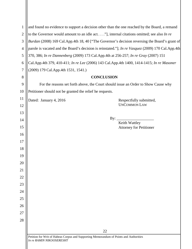| $\mathbf{1}$             | and found no evidence to support a decision other than the one reached by the Board, a remand       |                                                                                                   |  |
|--------------------------|-----------------------------------------------------------------------------------------------------|---------------------------------------------------------------------------------------------------|--|
| $\mathbf{2}$             | to the Governor would amount to an idle act. $\dots$ "], internal citations omitted; see also In re |                                                                                                   |  |
| 3                        | Burdan (2008) 169 Cal.App.4th 18, 40 ["The Governor's decision reversing the Board's grant of       |                                                                                                   |  |
| $\overline{\mathcal{A}}$ |                                                                                                     | parole is vacated and the Board's decision is reinstated."]; In re Vasquez (2009) 170 Cal.App.4th |  |
| 5                        | 370, 386; In re Dannenberg (2009) 173 Cal.App.4th at 256-257; In re Gray (2007) 151                 |                                                                                                   |  |
| 6                        | Cal.App.4th 379, 410-411; In re Lee (2006) 143 Cal.App.4th 1400, 1414-1415; In re Masoner           |                                                                                                   |  |
| 7                        | (2009) 179 Cal.App.4th 1531, 1541.)                                                                 |                                                                                                   |  |
| 8                        | <b>CONCLUSION</b>                                                                                   |                                                                                                   |  |
| 9                        | For the reasons set forth above, the Court should issue an Order to Show Cause why                  |                                                                                                   |  |
| 10                       | Petitioner should not be granted the relief he requests.                                            |                                                                                                   |  |
| 11                       | Dated: January 4, 2016                                                                              | Respectfully submitted,                                                                           |  |
| 12                       |                                                                                                     | <b>UNCOMMON LAW</b>                                                                               |  |
| 13                       |                                                                                                     |                                                                                                   |  |
| 14                       |                                                                                                     | By: $\_\_$<br>Keith Wattley                                                                       |  |
| 15                       |                                                                                                     | <b>Attorney for Petitioner</b>                                                                    |  |
| 16                       |                                                                                                     |                                                                                                   |  |
| 17                       |                                                                                                     |                                                                                                   |  |
| 18                       |                                                                                                     |                                                                                                   |  |
| 19                       |                                                                                                     |                                                                                                   |  |
| 20                       |                                                                                                     |                                                                                                   |  |
| 21                       |                                                                                                     |                                                                                                   |  |
| 22                       |                                                                                                     |                                                                                                   |  |
| 23                       |                                                                                                     |                                                                                                   |  |
| 24<br>25                 |                                                                                                     |                                                                                                   |  |
| 26                       |                                                                                                     |                                                                                                   |  |
| 27                       |                                                                                                     |                                                                                                   |  |
| 28                       |                                                                                                     |                                                                                                   |  |
|                          |                                                                                                     |                                                                                                   |  |
|                          |                                                                                                     | 22                                                                                                |  |

 $\mathsf{I}\mathsf{I}$